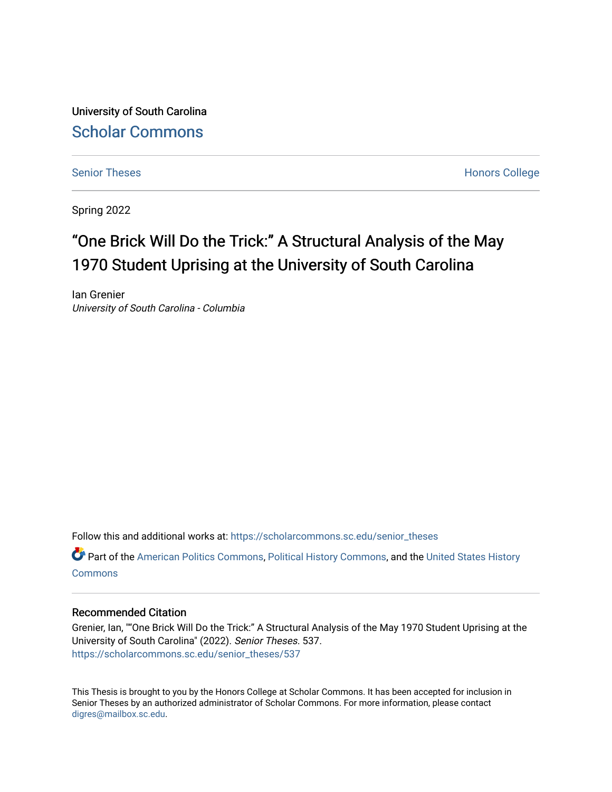University of South Carolina [Scholar Commons](https://scholarcommons.sc.edu/) 

[Senior Theses](https://scholarcommons.sc.edu/senior_theses) **Honors College** Honors College

Spring 2022

# "One Brick Will Do the Trick:" A Structural Analysis of the May 1970 Student Uprising at the University of South Carolina

Ian Grenier University of South Carolina - Columbia

Follow this and additional works at: [https://scholarcommons.sc.edu/senior\\_theses](https://scholarcommons.sc.edu/senior_theses?utm_source=scholarcommons.sc.edu%2Fsenior_theses%2F537&utm_medium=PDF&utm_campaign=PDFCoverPages) 

Part of the [American Politics Commons,](http://network.bepress.com/hgg/discipline/387?utm_source=scholarcommons.sc.edu%2Fsenior_theses%2F537&utm_medium=PDF&utm_campaign=PDFCoverPages) [Political History Commons,](http://network.bepress.com/hgg/discipline/505?utm_source=scholarcommons.sc.edu%2Fsenior_theses%2F537&utm_medium=PDF&utm_campaign=PDFCoverPages) and the [United States History](http://network.bepress.com/hgg/discipline/495?utm_source=scholarcommons.sc.edu%2Fsenior_theses%2F537&utm_medium=PDF&utm_campaign=PDFCoverPages) **[Commons](http://network.bepress.com/hgg/discipline/495?utm_source=scholarcommons.sc.edu%2Fsenior_theses%2F537&utm_medium=PDF&utm_campaign=PDFCoverPages)** 

#### Recommended Citation

Grenier, Ian, ""One Brick Will Do the Trick:" A Structural Analysis of the May 1970 Student Uprising at the University of South Carolina" (2022). Senior Theses. 537. [https://scholarcommons.sc.edu/senior\\_theses/537](https://scholarcommons.sc.edu/senior_theses/537?utm_source=scholarcommons.sc.edu%2Fsenior_theses%2F537&utm_medium=PDF&utm_campaign=PDFCoverPages) 

This Thesis is brought to you by the Honors College at Scholar Commons. It has been accepted for inclusion in Senior Theses by an authorized administrator of Scholar Commons. For more information, please contact [digres@mailbox.sc.edu](mailto:digres@mailbox.sc.edu).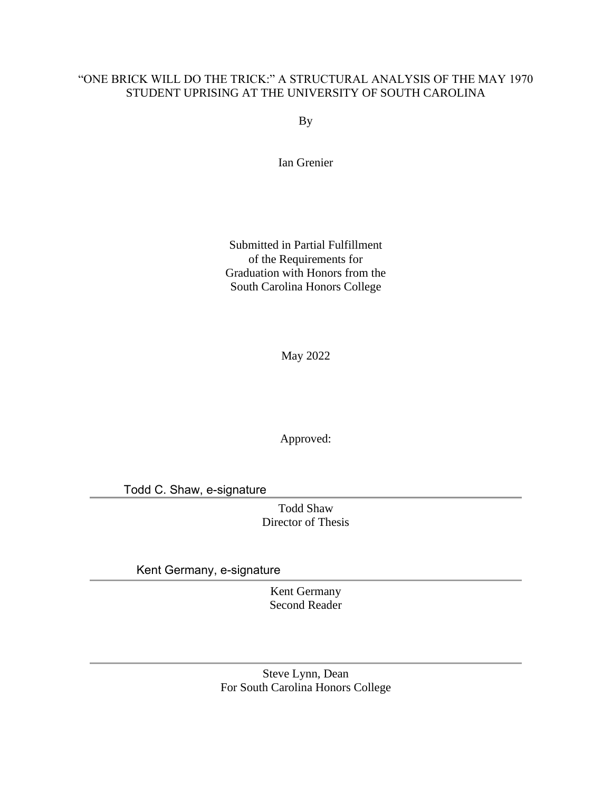## "ONE BRICK WILL DO THE TRICK:" A STRUCTURAL ANALYSIS OF THE MAY 1970 STUDENT UPRISING AT THE UNIVERSITY OF SOUTH CAROLINA

By

Ian Grenier

Submitted in Partial Fulfillment of the Requirements for Graduation with Honors from the South Carolina Honors College

May 2022

Approved:

Todd C. Shaw, e-signature

Todd Shaw Director of Thesis

Kent Germany, e-signature

Kent Germany Second Reader

Steve Lynn, Dean For South Carolina Honors College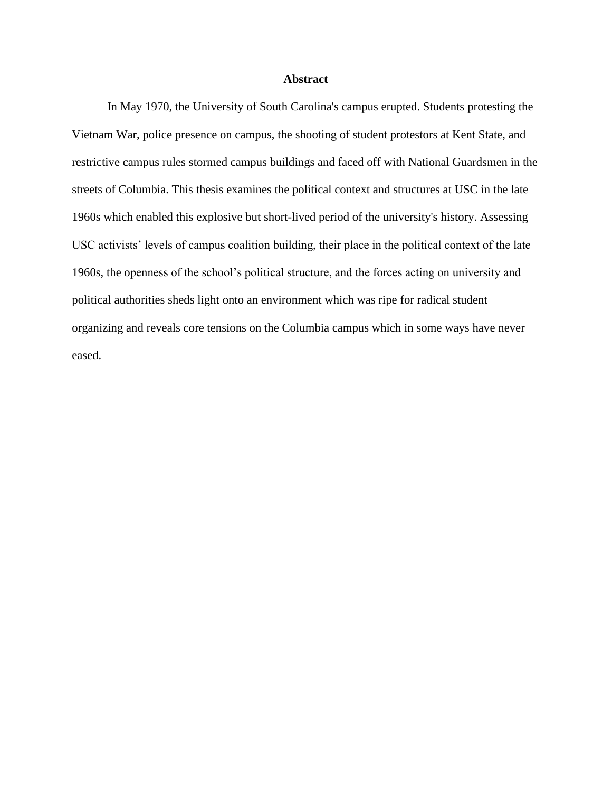### **Abstract**

In May 1970, the University of South Carolina's campus erupted. Students protesting the Vietnam War, police presence on campus, the shooting of student protestors at Kent State, and restrictive campus rules stormed campus buildings and faced off with National Guardsmen in the streets of Columbia. This thesis examines the political context and structures at USC in the late 1960s which enabled this explosive but short-lived period of the university's history. Assessing USC activists' levels of campus coalition building, their place in the political context of the late 1960s, the openness of the school's political structure, and the forces acting on university and political authorities sheds light onto an environment which was ripe for radical student organizing and reveals core tensions on the Columbia campus which in some ways have never eased.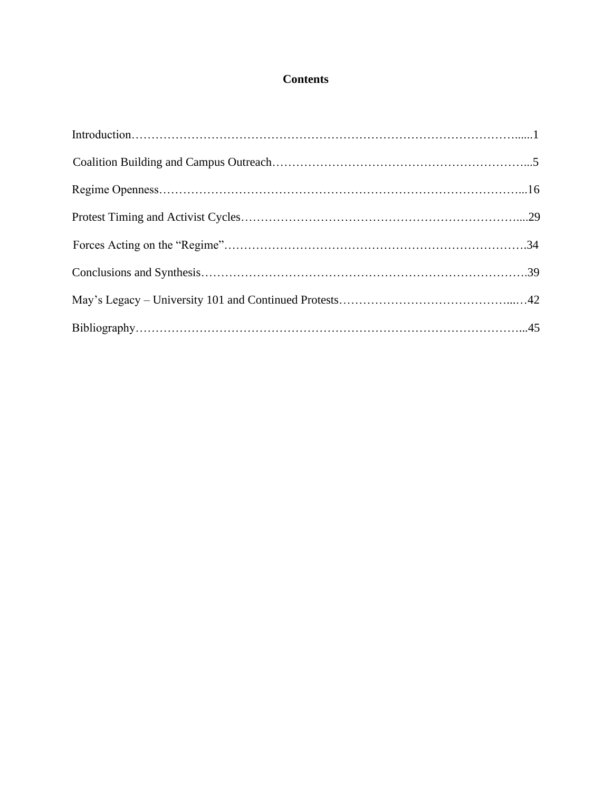## **Contents**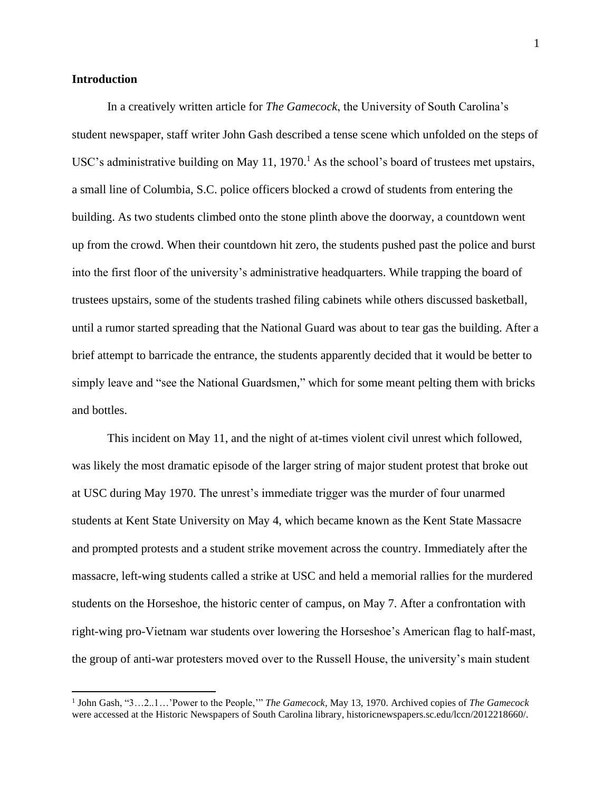#### **Introduction**

In a creatively written article for *The Gamecock*, the University of South Carolina's student newspaper, staff writer John Gash described a tense scene which unfolded on the steps of USC's administrative building on May 11, 1970.<sup>1</sup> As the school's board of trustees met upstairs, a small line of Columbia, S.C. police officers blocked a crowd of students from entering the building. As two students climbed onto the stone plinth above the doorway, a countdown went up from the crowd. When their countdown hit zero, the students pushed past the police and burst into the first floor of the university's administrative headquarters. While trapping the board of trustees upstairs, some of the students trashed filing cabinets while others discussed basketball, until a rumor started spreading that the National Guard was about to tear gas the building. After a brief attempt to barricade the entrance, the students apparently decided that it would be better to simply leave and "see the National Guardsmen," which for some meant pelting them with bricks and bottles.

This incident on May 11, and the night of at-times violent civil unrest which followed, was likely the most dramatic episode of the larger string of major student protest that broke out at USC during May 1970. The unrest's immediate trigger was the murder of four unarmed students at Kent State University on May 4, which became known as the Kent State Massacre and prompted protests and a student strike movement across the country. Immediately after the massacre, left-wing students called a strike at USC and held a memorial rallies for the murdered students on the Horseshoe, the historic center of campus, on May 7. After a confrontation with right-wing pro-Vietnam war students over lowering the Horseshoe's American flag to half-mast, the group of anti-war protesters moved over to the Russell House, the university's main student

<sup>1</sup> John Gash, "3…2..1…'Power to the People,'" *The Gamecock,* May 13, 1970. Archived copies of *The Gamecock* were accessed at the Historic Newspapers of South Carolina library, historicnewspapers.sc.edu/lccn/2012218660/.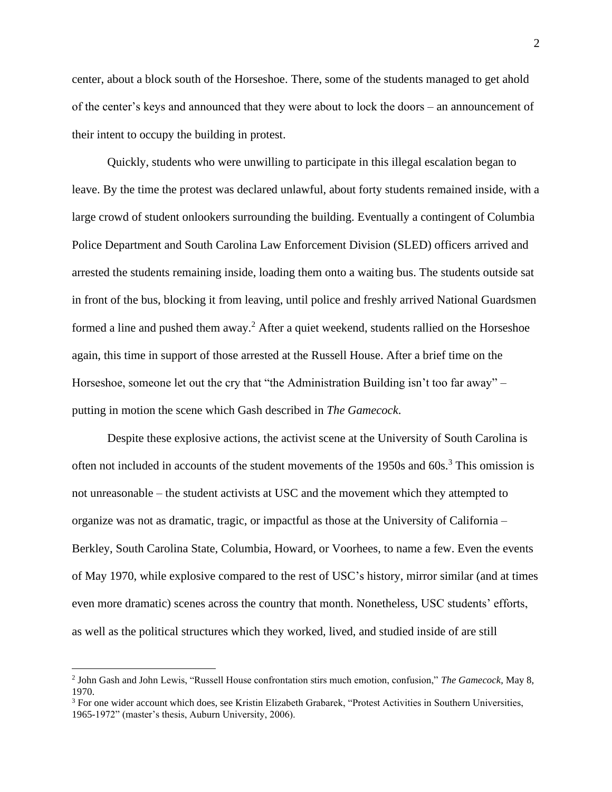center, about a block south of the Horseshoe. There, some of the students managed to get ahold of the center's keys and announced that they were about to lock the doors – an announcement of their intent to occupy the building in protest.

Quickly, students who were unwilling to participate in this illegal escalation began to leave. By the time the protest was declared unlawful, about forty students remained inside, with a large crowd of student onlookers surrounding the building. Eventually a contingent of Columbia Police Department and South Carolina Law Enforcement Division (SLED) officers arrived and arrested the students remaining inside, loading them onto a waiting bus. The students outside sat in front of the bus, blocking it from leaving, until police and freshly arrived National Guardsmen formed a line and pushed them away.<sup>2</sup> After a quiet weekend, students rallied on the Horseshoe again, this time in support of those arrested at the Russell House. After a brief time on the Horseshoe, someone let out the cry that "the Administration Building isn't too far away" – putting in motion the scene which Gash described in *The Gamecock*.

Despite these explosive actions, the activist scene at the University of South Carolina is often not included in accounts of the student movements of the 1950s and 60s.<sup>3</sup> This omission is not unreasonable – the student activists at USC and the movement which they attempted to organize was not as dramatic, tragic, or impactful as those at the University of California – Berkley, South Carolina State, Columbia, Howard, or Voorhees, to name a few. Even the events of May 1970, while explosive compared to the rest of USC's history, mirror similar (and at times even more dramatic) scenes across the country that month. Nonetheless, USC students' efforts, as well as the political structures which they worked, lived, and studied inside of are still

<sup>2</sup> John Gash and John Lewis, "Russell House confrontation stirs much emotion, confusion," *The Gamecock*, May 8, 1970.

<sup>3</sup> For one wider account which does, see Kristin Elizabeth Grabarek, "Protest Activities in Southern Universities, 1965-1972" (master's thesis, Auburn University, 2006).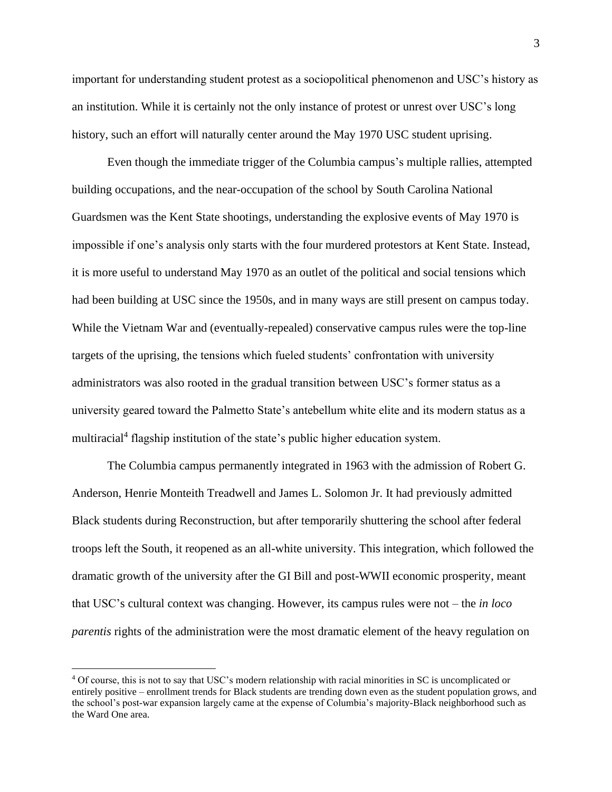important for understanding student protest as a sociopolitical phenomenon and USC's history as an institution. While it is certainly not the only instance of protest or unrest over USC's long history, such an effort will naturally center around the May 1970 USC student uprising.

Even though the immediate trigger of the Columbia campus's multiple rallies, attempted building occupations, and the near-occupation of the school by South Carolina National Guardsmen was the Kent State shootings, understanding the explosive events of May 1970 is impossible if one's analysis only starts with the four murdered protestors at Kent State. Instead, it is more useful to understand May 1970 as an outlet of the political and social tensions which had been building at USC since the 1950s, and in many ways are still present on campus today. While the Vietnam War and (eventually-repealed) conservative campus rules were the top-line targets of the uprising, the tensions which fueled students' confrontation with university administrators was also rooted in the gradual transition between USC's former status as a university geared toward the Palmetto State's antebellum white elite and its modern status as a multiracial<sup>4</sup> flagship institution of the state's public higher education system.

The Columbia campus permanently integrated in 1963 with the admission of Robert G. Anderson, Henrie Monteith Treadwell and James L. Solomon Jr. It had previously admitted Black students during Reconstruction, but after temporarily shuttering the school after federal troops left the South, it reopened as an all-white university. This integration, which followed the dramatic growth of the university after the GI Bill and post-WWII economic prosperity, meant that USC's cultural context was changing. However, its campus rules were not – the *in loco parentis* rights of the administration were the most dramatic element of the heavy regulation on

<sup>4</sup> Of course, this is not to say that USC's modern relationship with racial minorities in SC is uncomplicated or entirely positive – enrollment trends for Black students are trending down even as the student population grows, and the school's post-war expansion largely came at the expense of Columbia's majority-Black neighborhood such as the Ward One area.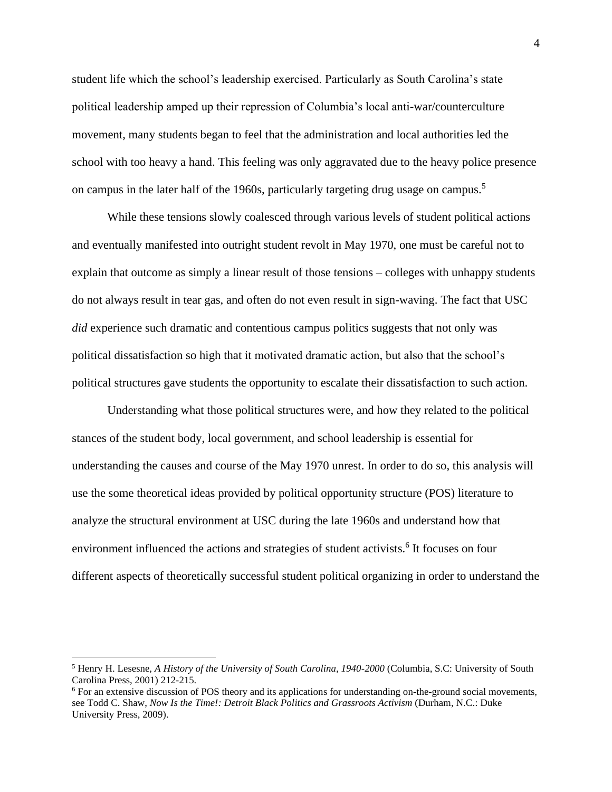student life which the school's leadership exercised. Particularly as South Carolina's state political leadership amped up their repression of Columbia's local anti-war/counterculture movement, many students began to feel that the administration and local authorities led the school with too heavy a hand. This feeling was only aggravated due to the heavy police presence on campus in the later half of the 1960s, particularly targeting drug usage on campus.<sup>5</sup>

While these tensions slowly coalesced through various levels of student political actions and eventually manifested into outright student revolt in May 1970, one must be careful not to explain that outcome as simply a linear result of those tensions – colleges with unhappy students do not always result in tear gas, and often do not even result in sign-waving. The fact that USC *did* experience such dramatic and contentious campus politics suggests that not only was political dissatisfaction so high that it motivated dramatic action, but also that the school's political structures gave students the opportunity to escalate their dissatisfaction to such action.

Understanding what those political structures were, and how they related to the political stances of the student body, local government, and school leadership is essential for understanding the causes and course of the May 1970 unrest. In order to do so, this analysis will use the some theoretical ideas provided by political opportunity structure (POS) literature to analyze the structural environment at USC during the late 1960s and understand how that environment influenced the actions and strategies of student activists.<sup>6</sup> It focuses on four different aspects of theoretically successful student political organizing in order to understand the

<sup>5</sup> Henry H. Lesesne, *A History of the University of South Carolina, 1940-2000* (Columbia, S.C: University of South Carolina Press, 2001) 212-215.

<sup>6</sup> For an extensive discussion of POS theory and its applications for understanding on-the-ground social movements, see Todd C. Shaw, *Now Is the Time!: Detroit Black Politics and Grassroots Activism* (Durham, N.C.: Duke University Press, 2009).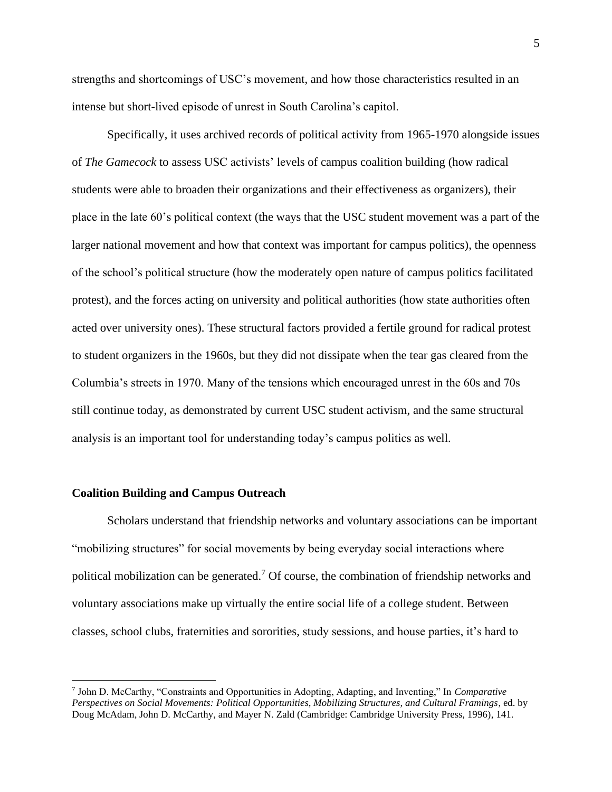strengths and shortcomings of USC's movement, and how those characteristics resulted in an intense but short-lived episode of unrest in South Carolina's capitol.

Specifically, it uses archived records of political activity from 1965-1970 alongside issues of *The Gamecock* to assess USC activists' levels of campus coalition building (how radical students were able to broaden their organizations and their effectiveness as organizers), their place in the late 60's political context (the ways that the USC student movement was a part of the larger national movement and how that context was important for campus politics), the openness of the school's political structure (how the moderately open nature of campus politics facilitated protest), and the forces acting on university and political authorities (how state authorities often acted over university ones). These structural factors provided a fertile ground for radical protest to student organizers in the 1960s, but they did not dissipate when the tear gas cleared from the Columbia's streets in 1970. Many of the tensions which encouraged unrest in the 60s and 70s still continue today, as demonstrated by current USC student activism, and the same structural analysis is an important tool for understanding today's campus politics as well.

#### **Coalition Building and Campus Outreach**

Scholars understand that friendship networks and voluntary associations can be important "mobilizing structures" for social movements by being everyday social interactions where political mobilization can be generated.<sup>7</sup> Of course, the combination of friendship networks and voluntary associations make up virtually the entire social life of a college student. Between classes, school clubs, fraternities and sororities, study sessions, and house parties, it's hard to

<sup>7</sup> John D. McCarthy, "Constraints and Opportunities in Adopting, Adapting, and Inventing," In *Comparative Perspectives on Social Movements: Political Opportunities, Mobilizing Structures, and Cultural Framings*, ed. by Doug McAdam, John D. McCarthy, and Mayer N. Zald (Cambridge: Cambridge University Press, 1996), 141.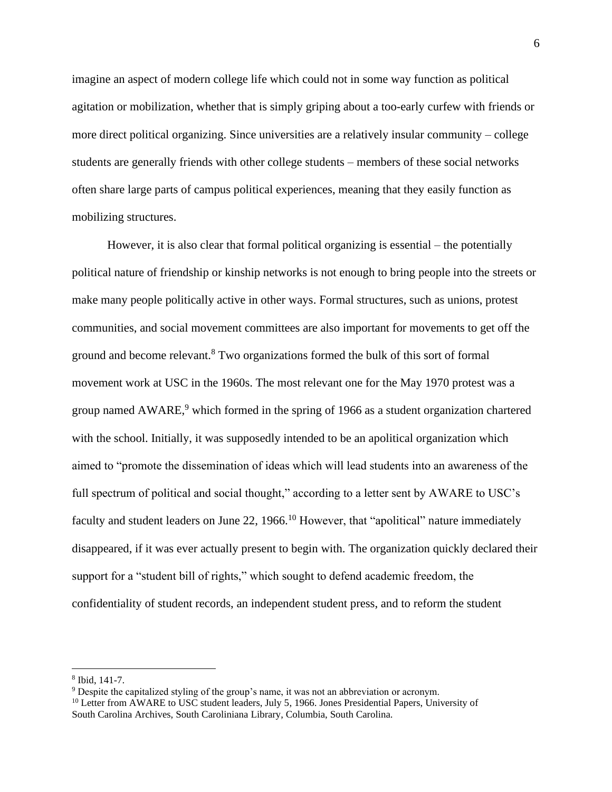imagine an aspect of modern college life which could not in some way function as political agitation or mobilization, whether that is simply griping about a too-early curfew with friends or more direct political organizing. Since universities are a relatively insular community – college students are generally friends with other college students – members of these social networks often share large parts of campus political experiences, meaning that they easily function as mobilizing structures.

However, it is also clear that formal political organizing is essential – the potentially political nature of friendship or kinship networks is not enough to bring people into the streets or make many people politically active in other ways. Formal structures, such as unions, protest communities, and social movement committees are also important for movements to get off the ground and become relevant.<sup>8</sup> Two organizations formed the bulk of this sort of formal movement work at USC in the 1960s. The most relevant one for the May 1970 protest was a group named  $AWARE<sup>9</sup>$ , which formed in the spring of 1966 as a student organization chartered with the school. Initially, it was supposedly intended to be an apolitical organization which aimed to "promote the dissemination of ideas which will lead students into an awareness of the full spectrum of political and social thought," according to a letter sent by AWARE to USC's faculty and student leaders on June 22, 1966.<sup>10</sup> However, that "apolitical" nature immediately disappeared, if it was ever actually present to begin with. The organization quickly declared their support for a "student bill of rights," which sought to defend academic freedom, the confidentiality of student records, an independent student press, and to reform the student

<sup>8</sup> Ibid, 141-7.

<sup>&</sup>lt;sup>9</sup> Despite the capitalized styling of the group's name, it was not an abbreviation or acronym.

<sup>&</sup>lt;sup>10</sup> Letter from AWARE to USC student leaders, July 5, 1966. Jones Presidential Papers, University of South Carolina Archives, South Caroliniana Library, Columbia, South Carolina.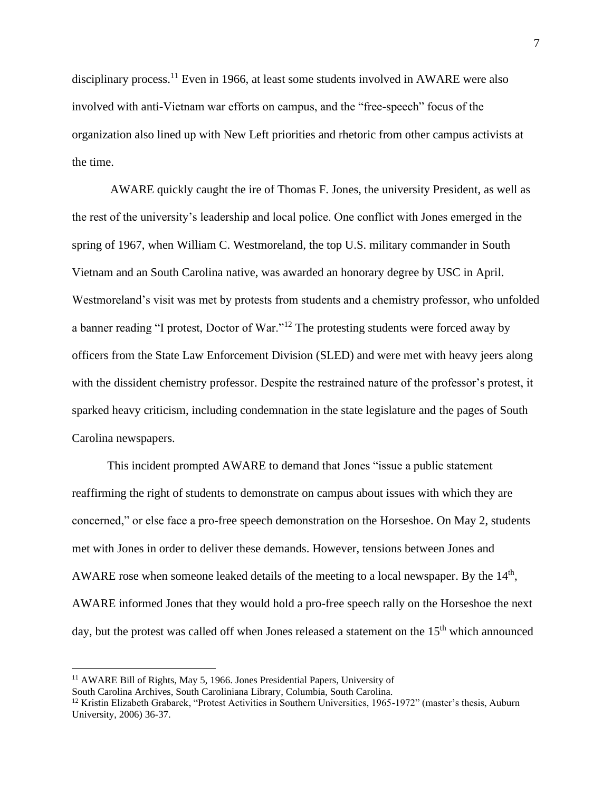disciplinary process.<sup>11</sup> Even in 1966, at least some students involved in AWARE were also involved with anti-Vietnam war efforts on campus, and the "free-speech" focus of the organization also lined up with New Left priorities and rhetoric from other campus activists at the time.

AWARE quickly caught the ire of Thomas F. Jones, the university President, as well as the rest of the university's leadership and local police. One conflict with Jones emerged in the spring of 1967, when William C. Westmoreland, the top U.S. military commander in South Vietnam and an South Carolina native, was awarded an honorary degree by USC in April. Westmoreland's visit was met by protests from students and a chemistry professor, who unfolded a banner reading "I protest, Doctor of War."<sup>12</sup> The protesting students were forced away by officers from the State Law Enforcement Division (SLED) and were met with heavy jeers along with the dissident chemistry professor. Despite the restrained nature of the professor's protest, it sparked heavy criticism, including condemnation in the state legislature and the pages of South Carolina newspapers.

This incident prompted AWARE to demand that Jones "issue a public statement reaffirming the right of students to demonstrate on campus about issues with which they are concerned," or else face a pro-free speech demonstration on the Horseshoe. On May 2, students met with Jones in order to deliver these demands. However, tensions between Jones and AWARE rose when someone leaked details of the meeting to a local newspaper. By the  $14<sup>th</sup>$ , AWARE informed Jones that they would hold a pro-free speech rally on the Horseshoe the next day, but the protest was called off when Jones released a statement on the 15<sup>th</sup> which announced

<sup>&</sup>lt;sup>11</sup> AWARE Bill of Rights, May 5, 1966. Jones Presidential Papers, University of

South Carolina Archives, South Caroliniana Library, Columbia, South Carolina.

 $12$  Kristin Elizabeth Grabarek, "Protest Activities in Southern Universities, 1965-1972" (master's thesis, Auburn University, 2006) 36-37.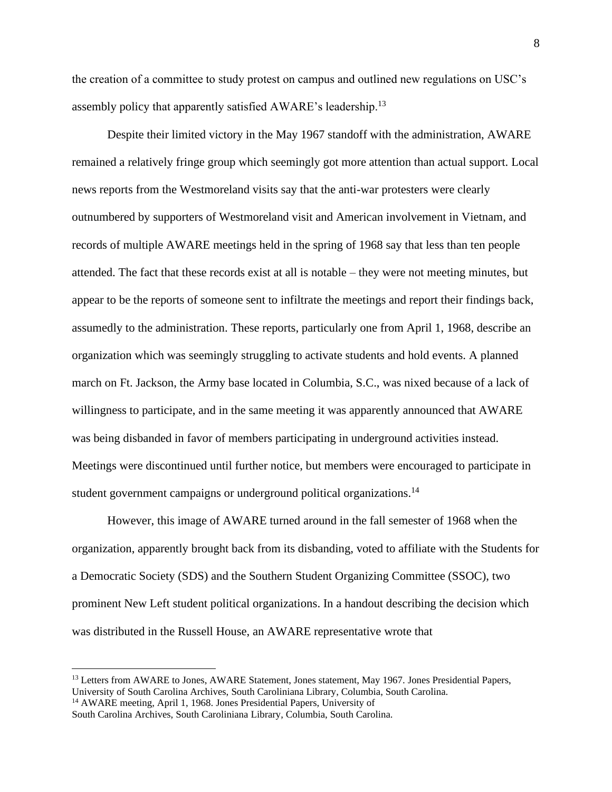the creation of a committee to study protest on campus and outlined new regulations on USC's assembly policy that apparently satisfied AWARE's leadership.<sup>13</sup>

Despite their limited victory in the May 1967 standoff with the administration, AWARE remained a relatively fringe group which seemingly got more attention than actual support. Local news reports from the Westmoreland visits say that the anti-war protesters were clearly outnumbered by supporters of Westmoreland visit and American involvement in Vietnam, and records of multiple AWARE meetings held in the spring of 1968 say that less than ten people attended. The fact that these records exist at all is notable – they were not meeting minutes, but appear to be the reports of someone sent to infiltrate the meetings and report their findings back, assumedly to the administration. These reports, particularly one from April 1, 1968, describe an organization which was seemingly struggling to activate students and hold events. A planned march on Ft. Jackson, the Army base located in Columbia, S.C., was nixed because of a lack of willingness to participate, and in the same meeting it was apparently announced that AWARE was being disbanded in favor of members participating in underground activities instead. Meetings were discontinued until further notice, but members were encouraged to participate in student government campaigns or underground political organizations.<sup>14</sup>

However, this image of AWARE turned around in the fall semester of 1968 when the organization, apparently brought back from its disbanding, voted to affiliate with the Students for a Democratic Society (SDS) and the Southern Student Organizing Committee (SSOC), two prominent New Left student political organizations. In a handout describing the decision which was distributed in the Russell House, an AWARE representative wrote that

<sup>&</sup>lt;sup>13</sup> Letters from AWARE to Jones, AWARE Statement, Jones statement, May 1967. Jones Presidential Papers, University of South Carolina Archives, South Caroliniana Library, Columbia, South Carolina.

<sup>&</sup>lt;sup>14</sup> AWARE meeting, April 1, 1968. Jones Presidential Papers, University of

South Carolina Archives, South Caroliniana Library, Columbia, South Carolina.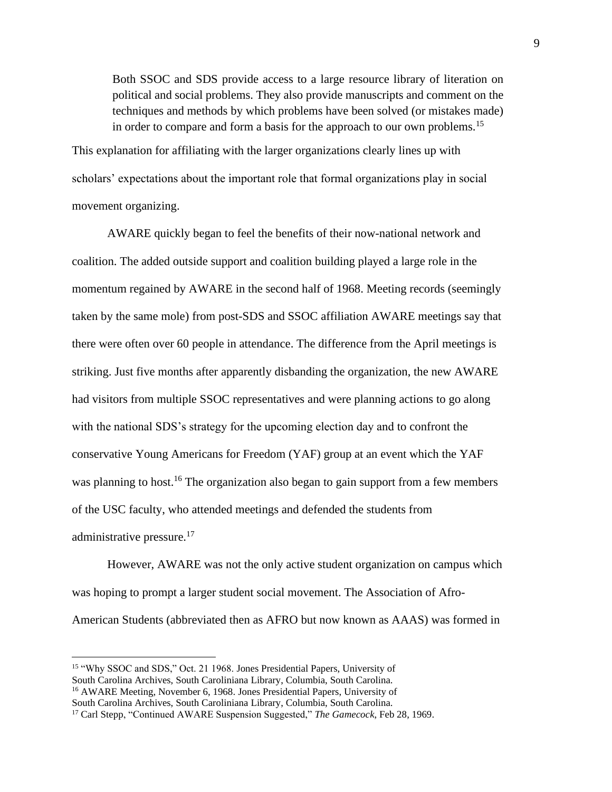Both SSOC and SDS provide access to a large resource library of literation on political and social problems. They also provide manuscripts and comment on the techniques and methods by which problems have been solved (or mistakes made) in order to compare and form a basis for the approach to our own problems.<sup>15</sup>

This explanation for affiliating with the larger organizations clearly lines up with scholars' expectations about the important role that formal organizations play in social movement organizing.

AWARE quickly began to feel the benefits of their now-national network and coalition. The added outside support and coalition building played a large role in the momentum regained by AWARE in the second half of 1968. Meeting records (seemingly taken by the same mole) from post-SDS and SSOC affiliation AWARE meetings say that there were often over 60 people in attendance. The difference from the April meetings is striking. Just five months after apparently disbanding the organization, the new AWARE had visitors from multiple SSOC representatives and were planning actions to go along with the national SDS's strategy for the upcoming election day and to confront the conservative Young Americans for Freedom (YAF) group at an event which the YAF was planning to host.<sup>16</sup> The organization also began to gain support from a few members of the USC faculty, who attended meetings and defended the students from administrative pressure.<sup>17</sup>

However, AWARE was not the only active student organization on campus which was hoping to prompt a larger student social movement. The Association of Afro-American Students (abbreviated then as AFRO but now known as AAAS) was formed in

<sup>15</sup> "Why SSOC and SDS," Oct. 21 1968. Jones Presidential Papers, University of South Carolina Archives, South Caroliniana Library, Columbia, South Carolina. <sup>16</sup> AWARE Meeting, November 6, 1968. Jones Presidential Papers, University of

South Carolina Archives, South Caroliniana Library, Columbia, South Carolina.

<sup>17</sup> Carl Stepp, "Continued AWARE Suspension Suggested," *The Gamecock*, Feb 28, 1969.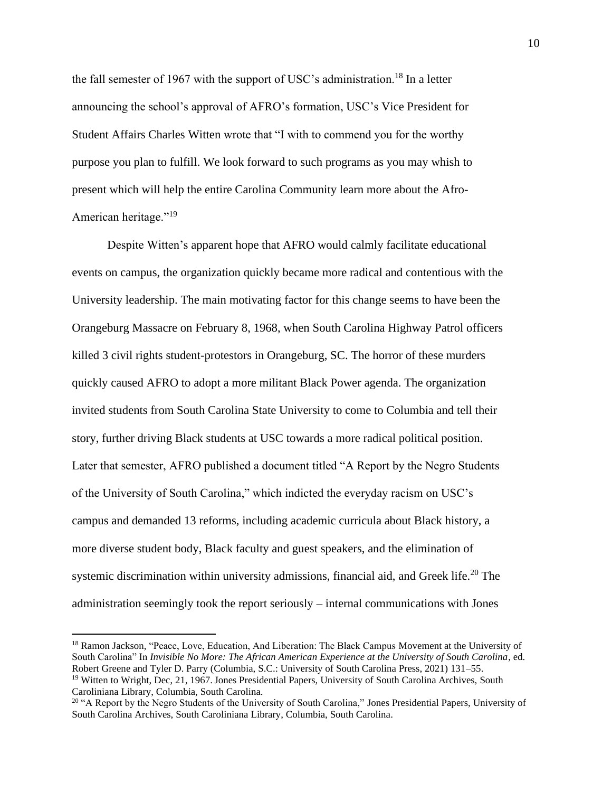the fall semester of 1967 with the support of USC's administration.<sup>18</sup> In a letter announcing the school's approval of AFRO's formation, USC's Vice President for Student Affairs Charles Witten wrote that "I with to commend you for the worthy purpose you plan to fulfill. We look forward to such programs as you may whish to present which will help the entire Carolina Community learn more about the Afro-American heritage."<sup>19</sup>

Despite Witten's apparent hope that AFRO would calmly facilitate educational events on campus, the organization quickly became more radical and contentious with the University leadership. The main motivating factor for this change seems to have been the Orangeburg Massacre on February 8, 1968, when South Carolina Highway Patrol officers killed 3 civil rights student-protestors in Orangeburg, SC. The horror of these murders quickly caused AFRO to adopt a more militant Black Power agenda. The organization invited students from South Carolina State University to come to Columbia and tell their story, further driving Black students at USC towards a more radical political position. Later that semester, AFRO published a document titled "A Report by the Negro Students of the University of South Carolina," which indicted the everyday racism on USC's campus and demanded 13 reforms, including academic curricula about Black history, a more diverse student body, Black faculty and guest speakers, and the elimination of systemic discrimination within university admissions, financial aid, and Greek life.<sup>20</sup> The administration seemingly took the report seriously – internal communications with Jones

<sup>&</sup>lt;sup>18</sup> Ramon Jackson, "Peace, Love, Education, And Liberation: The Black Campus Movement at the University of South Carolina" In *Invisible No More: The African American Experience at the University of South Carolina*, ed. Robert Greene and Tyler D. Parry (Columbia, S.C.: University of South Carolina Press, 2021) 131–55. <sup>19</sup> Witten to Wright, Dec, 21, 1967. Jones Presidential Papers, University of South Carolina Archives, South Caroliniana Library, Columbia, South Carolina.

<sup>&</sup>lt;sup>20</sup> "A Report by the Negro Students of the University of South Carolina," Jones Presidential Papers, University of South Carolina Archives, South Caroliniana Library, Columbia, South Carolina.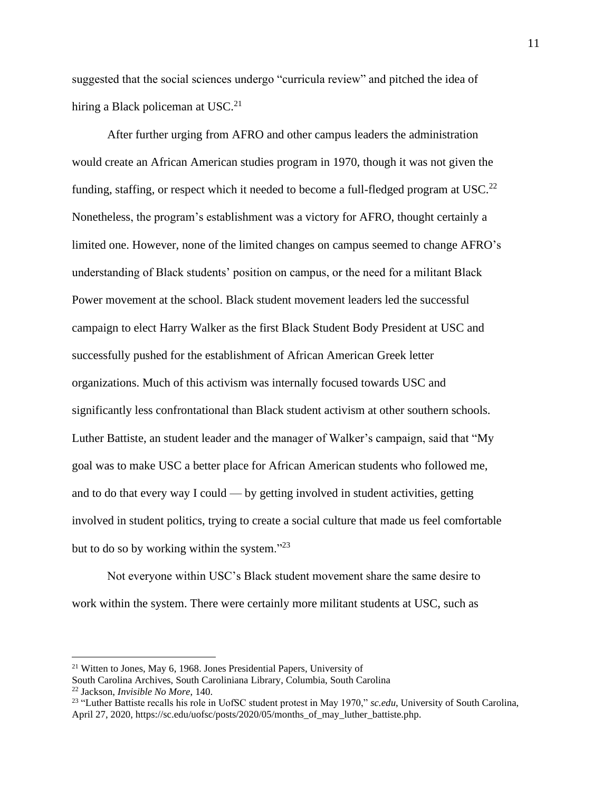suggested that the social sciences undergo "curricula review" and pitched the idea of hiring a Black policeman at  $USC<sup>21</sup>$ 

After further urging from AFRO and other campus leaders the administration would create an African American studies program in 1970, though it was not given the funding, staffing, or respect which it needed to become a full-fledged program at USC.<sup>22</sup> Nonetheless, the program's establishment was a victory for AFRO, thought certainly a limited one. However, none of the limited changes on campus seemed to change AFRO's understanding of Black students' position on campus, or the need for a militant Black Power movement at the school. Black student movement leaders led the successful campaign to elect Harry Walker as the first Black Student Body President at USC and successfully pushed for the establishment of African American Greek letter organizations. Much of this activism was internally focused towards USC and significantly less confrontational than Black student activism at other southern schools. Luther Battiste, an student leader and the manager of Walker's campaign, said that "My goal was to make USC a better place for African American students who followed me, and to do that every way I could — by getting involved in student activities, getting involved in student politics, trying to create a social culture that made us feel comfortable but to do so by working within the system."<sup>23</sup>

Not everyone within USC's Black student movement share the same desire to work within the system. There were certainly more militant students at USC, such as

<sup>21</sup> Witten to Jones, May 6, 1968. Jones Presidential Papers, University of

South Carolina Archives, South Caroliniana Library, Columbia, South Carolina <sup>22</sup> Jackson, *Invisible No More*, 140.

<sup>23</sup> "Luther Battiste recalls his role in UofSC student protest in May 1970," *sc.edu*, University of South Carolina, April 27, 2020, https://sc.edu/uofsc/posts/2020/05/months\_of\_may\_luther\_battiste.php.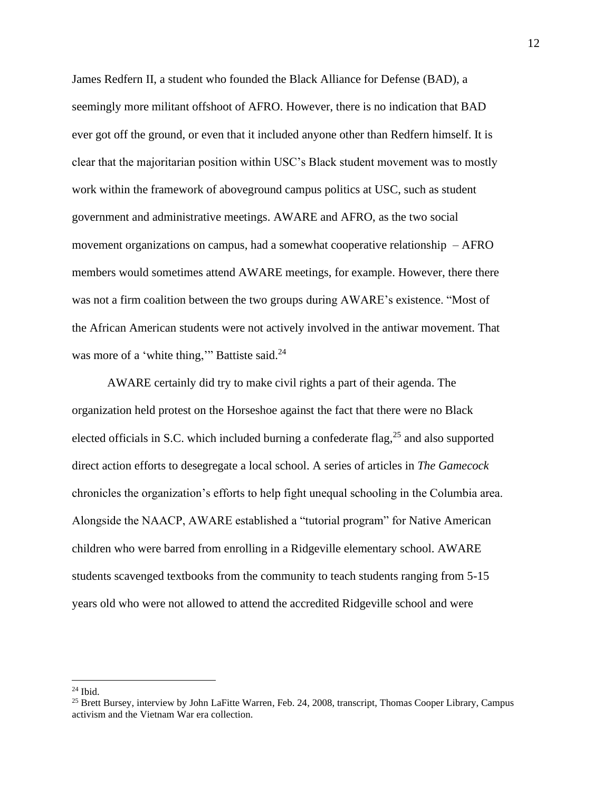James Redfern II, a student who founded the Black Alliance for Defense (BAD), a seemingly more militant offshoot of AFRO. However, there is no indication that BAD ever got off the ground, or even that it included anyone other than Redfern himself. It is clear that the majoritarian position within USC's Black student movement was to mostly work within the framework of aboveground campus politics at USC, such as student government and administrative meetings. AWARE and AFRO, as the two social movement organizations on campus, had a somewhat cooperative relationship  $-$  AFRO members would sometimes attend AWARE meetings, for example. However, there there was not a firm coalition between the two groups during AWARE's existence. "Most of the African American students were not actively involved in the antiwar movement. That was more of a 'white thing,'" Battiste said.<sup>24</sup>

AWARE certainly did try to make civil rights a part of their agenda. The organization held protest on the Horseshoe against the fact that there were no Black elected officials in S.C. which included burning a confederate flag, $^{25}$  and also supported direct action efforts to desegregate a local school. A series of articles in *The Gamecock* chronicles the organization's efforts to help fight unequal schooling in the Columbia area. Alongside the NAACP, AWARE established a "tutorial program" for Native American children who were barred from enrolling in a Ridgeville elementary school. AWARE students scavenged textbooks from the community to teach students ranging from 5-15 years old who were not allowed to attend the accredited Ridgeville school and were

<sup>24</sup> Ibid.

<sup>&</sup>lt;sup>25</sup> Brett Bursey, interview by John LaFitte Warren, Feb. 24, 2008, transcript, Thomas Cooper Library, Campus activism and the Vietnam War era collection.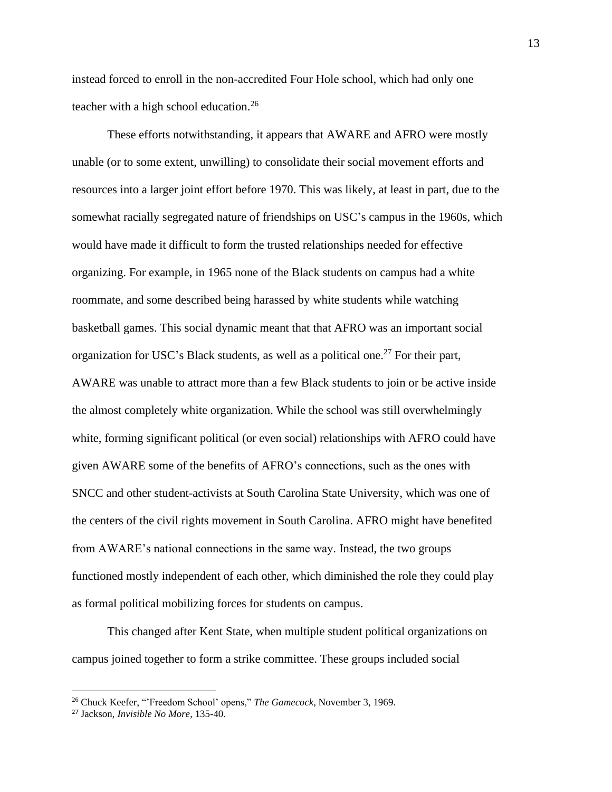instead forced to enroll in the non-accredited Four Hole school, which had only one teacher with a high school education.<sup>26</sup>

These efforts notwithstanding, it appears that AWARE and AFRO were mostly unable (or to some extent, unwilling) to consolidate their social movement efforts and resources into a larger joint effort before 1970. This was likely, at least in part, due to the somewhat racially segregated nature of friendships on USC's campus in the 1960s, which would have made it difficult to form the trusted relationships needed for effective organizing. For example, in 1965 none of the Black students on campus had a white roommate, and some described being harassed by white students while watching basketball games. This social dynamic meant that that AFRO was an important social organization for USC's Black students, as well as a political one.<sup>27</sup> For their part, AWARE was unable to attract more than a few Black students to join or be active inside the almost completely white organization. While the school was still overwhelmingly white, forming significant political (or even social) relationships with AFRO could have given AWARE some of the benefits of AFRO's connections, such as the ones with SNCC and other student-activists at South Carolina State University, which was one of the centers of the civil rights movement in South Carolina. AFRO might have benefited from AWARE's national connections in the same way. Instead, the two groups functioned mostly independent of each other, which diminished the role they could play as formal political mobilizing forces for students on campus.

This changed after Kent State, when multiple student political organizations on campus joined together to form a strike committee. These groups included social

<sup>26</sup> Chuck Keefer, "'Freedom School' opens," *The Gamecock*, November 3, 1969.

<sup>27</sup> Jackson, *Invisible No More*, 135-40.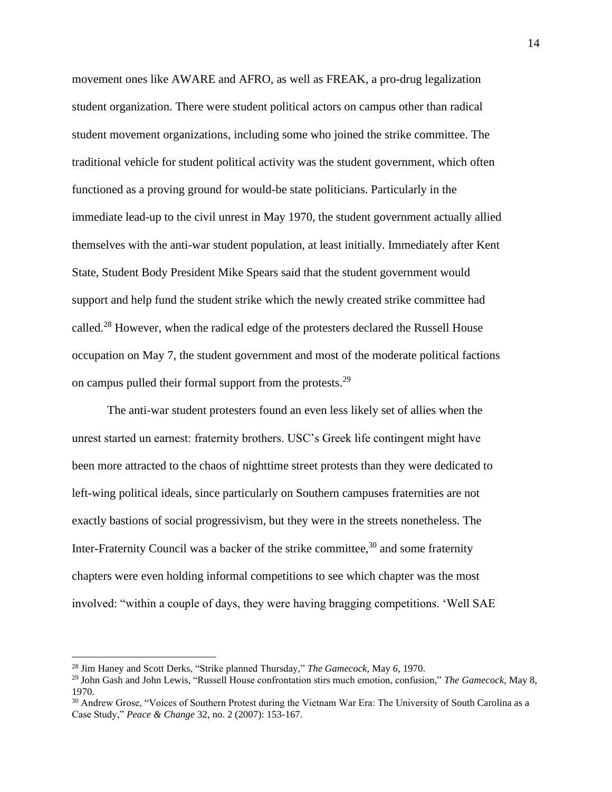movement ones like AWARE and AFRO, as well as FREAK, a pro-drug legalization student organization. There were student political actors on campus other than radical student movement organizations, including some who joined the strike committee. The traditional vehicle for student political activity was the student government, which often functioned as a proving ground for would-be state politicians. Particularly in the immediate lead-up to the civil unrest in May 1970, the student government actually allied themselves with the anti-war student population, at least initially. Immediately after Kent State, Student Body President Mike Spears said that the student government would support and help fund the student strike which the newly created strike committee had called.<sup>28</sup> However, when the radical edge of the protesters declared the Russell House occupation on May 7, the student government and most of the moderate political factions on campus pulled their formal support from the protests.<sup>29</sup>

The anti-war student protesters found an even less likely set of allies when the unrest started un earnest: fraternity brothers. USC's Greek life contingent might have been more attracted to the chaos of nighttime street protests than they were dedicated to left-wing political ideals, since particularly on Southern campuses fraternities are not exactly bastions of social progressivism, but they were in the streets nonetheless. The Inter-Fraternity Council was a backer of the strike committee,<sup>30</sup> and some fraternity chapters were even holding informal competitions to see which chapter was the most involved: "within a couple of days, they were having bragging competitions. 'Well SAE

<sup>28</sup> Jim Haney and Scott Derks, "Strike planned Thursday," *The Gamecock,* May *6,* 1970.

<sup>29</sup> John Gash and John Lewis, "Russell House confrontation stirs much emotion, confusion," *The Gamecock*, May 8, 1970.

<sup>&</sup>lt;sup>30</sup> Andrew Grose, "Voices of Southern Protest during the Vietnam War Era: The University of South Carolina as a Case Study," *Peace & Change* 32, no. 2 (2007): 153-167.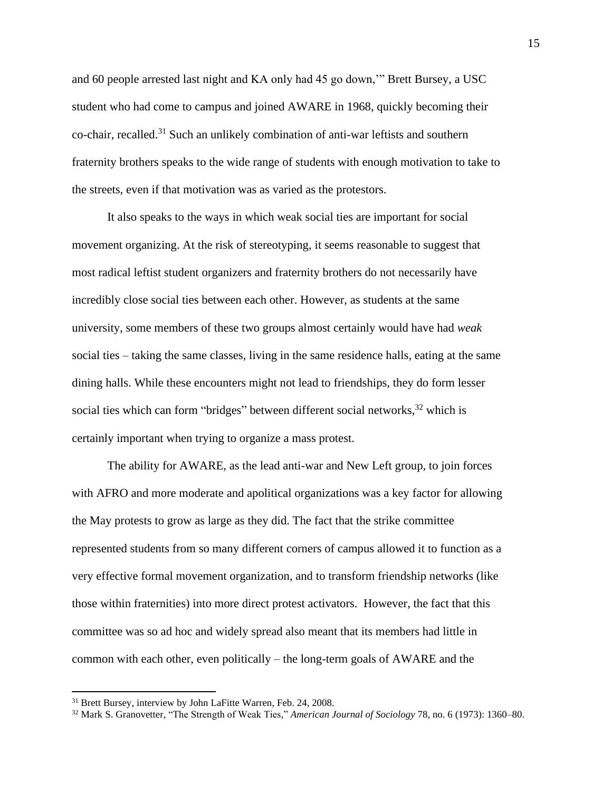and 60 people arrested last night and KA only had 45 go down,'" Brett Bursey, a USC student who had come to campus and joined AWARE in 1968, quickly becoming their co-chair, recalled.<sup>31</sup> Such an unlikely combination of anti-war leftists and southern fraternity brothers speaks to the wide range of students with enough motivation to take to the streets, even if that motivation was as varied as the protestors.

It also speaks to the ways in which weak social ties are important for social movement organizing. At the risk of stereotyping, it seems reasonable to suggest that most radical leftist student organizers and fraternity brothers do not necessarily have incredibly close social ties between each other. However, as students at the same university, some members of these two groups almost certainly would have had *weak* social ties – taking the same classes, living in the same residence halls, eating at the same dining halls. While these encounters might not lead to friendships, they do form lesser social ties which can form "bridges" between different social networks,<sup>32</sup> which is certainly important when trying to organize a mass protest.

The ability for AWARE, as the lead anti-war and New Left group, to join forces with AFRO and more moderate and apolitical organizations was a key factor for allowing the May protests to grow as large as they did. The fact that the strike committee represented students from so many different corners of campus allowed it to function as a very effective formal movement organization, and to transform friendship networks (like those within fraternities) into more direct protest activators. However, the fact that this committee was so ad hoc and widely spread also meant that its members had little in common with each other, even politically – the long-term goals of AWARE and the

<sup>&</sup>lt;sup>31</sup> Brett Bursey, interview by John LaFitte Warren, Feb. 24, 2008.

<sup>32</sup> Mark S. Granovetter, "The Strength of Weak Ties," *American Journal of Sociology* 78, no. 6 (1973): 1360–80.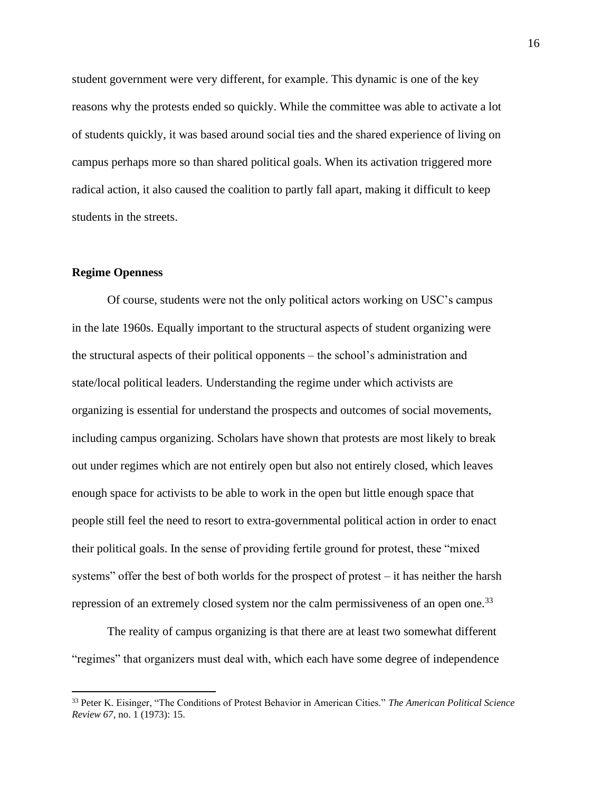student government were very different, for example. This dynamic is one of the key reasons why the protests ended so quickly. While the committee was able to activate a lot of students quickly, it was based around social ties and the shared experience of living on campus perhaps more so than shared political goals. When its activation triggered more radical action, it also caused the coalition to partly fall apart, making it difficult to keep students in the streets.

#### **Regime Openness**

Of course, students were not the only political actors working on USC's campus in the late 1960s. Equally important to the structural aspects of student organizing were the structural aspects of their political opponents – the school's administration and state/local political leaders. Understanding the regime under which activists are organizing is essential for understand the prospects and outcomes of social movements, including campus organizing. Scholars have shown that protests are most likely to break out under regimes which are not entirely open but also not entirely closed, which leaves enough space for activists to be able to work in the open but little enough space that people still feel the need to resort to extra-governmental political action in order to enact their political goals. In the sense of providing fertile ground for protest, these "mixed systems" offer the best of both worlds for the prospect of protest – it has neither the harsh repression of an extremely closed system nor the calm permissiveness of an open one.<sup>33</sup>

The reality of campus organizing is that there are at least two somewhat different "regimes" that organizers must deal with, which each have some degree of independence

<sup>33</sup> Peter K. Eisinger, "The Conditions of Protest Behavior in American Cities." *The American Political Science Review 67*, no. 1 (1973): 15.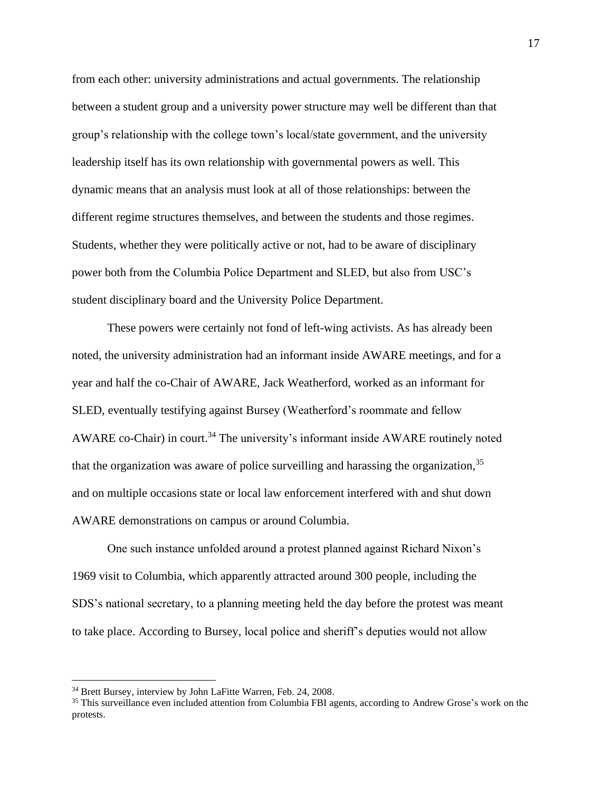from each other: university administrations and actual governments. The relationship between a student group and a university power structure may well be different than that group's relationship with the college town's local/state government, and the university leadership itself has its own relationship with governmental powers as well. This dynamic means that an analysis must look at all of those relationships: between the different regime structures themselves, and between the students and those regimes. Students, whether they were politically active or not, had to be aware of disciplinary power both from the Columbia Police Department and SLED, but also from USC's student disciplinary board and the University Police Department.

These powers were certainly not fond of left-wing activists. As has already been noted, the university administration had an informant inside AWARE meetings, and for a year and half the co-Chair of AWARE, Jack Weatherford, worked as an informant for SLED, eventually testifying against Bursey (Weatherford's roommate and fellow AWARE co-Chair) in court.<sup>34</sup> The university's informant inside AWARE routinely noted that the organization was aware of police surveilling and harassing the organization,  $35$ and on multiple occasions state or local law enforcement interfered with and shut down AWARE demonstrations on campus or around Columbia.

One such instance unfolded around a protest planned against Richard Nixon's 1969 visit to Columbia, which apparently attracted around 300 people, including the SDS's national secretary, to a planning meeting held the day before the protest was meant to take place. According to Bursey, local police and sheriff's deputies would not allow

<sup>&</sup>lt;sup>34</sup> Brett Bursey, interview by John LaFitte Warren, Feb. 24, 2008.

<sup>&</sup>lt;sup>35</sup> This surveillance even included attention from Columbia FBI agents, according to Andrew Grose's work on the protests.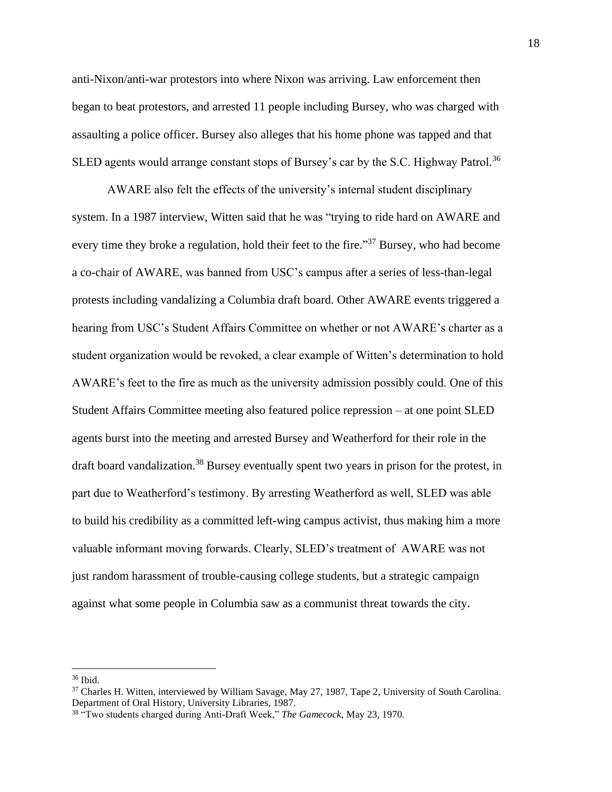anti-Nixon/anti-war protestors into where Nixon was arriving. Law enforcement then began to beat protestors, and arrested 11 people including Bursey, who was charged with assaulting a police officer. Bursey also alleges that his home phone was tapped and that SLED agents would arrange constant stops of Bursey's car by the S.C. Highway Patrol.<sup>36</sup>

AWARE also felt the effects of the university's internal student disciplinary system. In a 1987 interview, Witten said that he was "trying to ride hard on AWARE and every time they broke a regulation, hold their feet to the fire."<sup>37</sup> Bursey, who had become a co-chair of AWARE, was banned from USC's campus after a series of less-than-legal protests including vandalizing a Columbia draft board. Other AWARE events triggered a hearing from USC's Student Affairs Committee on whether or not AWARE's charter as a student organization would be revoked, a clear example of Witten's determination to hold AWARE's feet to the fire as much as the university admission possibly could. One of this Student Affairs Committee meeting also featured police repression – at one point SLED agents burst into the meeting and arrested Bursey and Weatherford for their role in the draft board vandalization.<sup>38</sup> Bursey eventually spent two years in prison for the protest, in part due to Weatherford's testimony. By arresting Weatherford as well, SLED was able to build his credibility as a committed left-wing campus activist, thus making him a more valuable informant moving forwards. Clearly, SLED's treatment of AWARE was not just random harassment of trouble-causing college students, but a strategic campaign against what some people in Columbia saw as a communist threat towards the city.

 $36$  Ibid.

<sup>&</sup>lt;sup>37</sup> Charles H. Witten, interviewed by William Savage, May 27, 1987, Tape 2, University of South Carolina. Department of Oral History, University Libraries, 1987.

<sup>38</sup> "Two students charged during Anti-Draft Week," *The Gamecock*, May 23, 1970.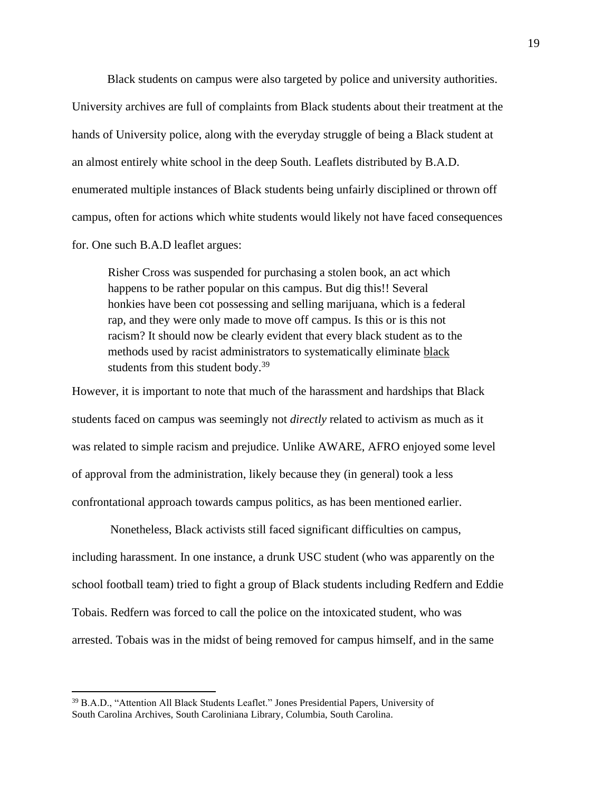Black students on campus were also targeted by police and university authorities. University archives are full of complaints from Black students about their treatment at the hands of University police, along with the everyday struggle of being a Black student at an almost entirely white school in the deep South. Leaflets distributed by B.A.D. enumerated multiple instances of Black students being unfairly disciplined or thrown off campus, often for actions which white students would likely not have faced consequences for. One such B.A.D leaflet argues:

Risher Cross was suspended for purchasing a stolen book, an act which happens to be rather popular on this campus. But dig this!! Several honkies have been cot possessing and selling marijuana, which is a federal rap, and they were only made to move off campus. Is this or is this not racism? It should now be clearly evident that every black student as to the methods used by racist administrators to systematically eliminate black students from this student body.<sup>39</sup>

However, it is important to note that much of the harassment and hardships that Black students faced on campus was seemingly not *directly* related to activism as much as it was related to simple racism and prejudice. Unlike AWARE, AFRO enjoyed some level of approval from the administration, likely because they (in general) took a less confrontational approach towards campus politics, as has been mentioned earlier.

Nonetheless, Black activists still faced significant difficulties on campus, including harassment. In one instance, a drunk USC student (who was apparently on the school football team) tried to fight a group of Black students including Redfern and Eddie Tobais. Redfern was forced to call the police on the intoxicated student, who was arrested. Tobais was in the midst of being removed for campus himself, and in the same

<sup>&</sup>lt;sup>39</sup> B.A.D., "Attention All Black Students Leaflet." Jones Presidential Papers, University of South Carolina Archives, South Caroliniana Library, Columbia, South Carolina.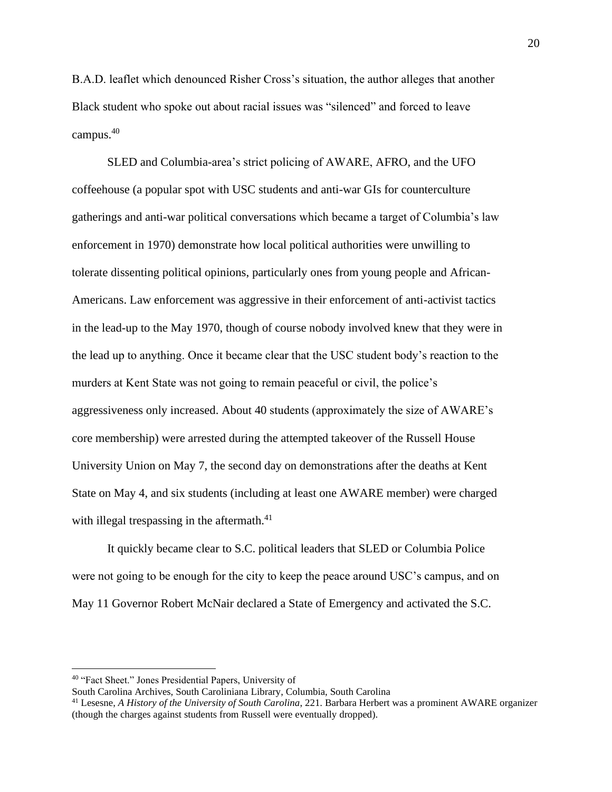B.A.D. leaflet which denounced Risher Cross's situation, the author alleges that another Black student who spoke out about racial issues was "silenced" and forced to leave campus. 40

SLED and Columbia-area's strict policing of AWARE, AFRO, and the UFO coffeehouse (a popular spot with USC students and anti-war GIs for counterculture gatherings and anti-war political conversations which became a target of Columbia's law enforcement in 1970) demonstrate how local political authorities were unwilling to tolerate dissenting political opinions, particularly ones from young people and African-Americans. Law enforcement was aggressive in their enforcement of anti-activist tactics in the lead-up to the May 1970, though of course nobody involved knew that they were in the lead up to anything. Once it became clear that the USC student body's reaction to the murders at Kent State was not going to remain peaceful or civil, the police's aggressiveness only increased. About 40 students (approximately the size of AWARE's core membership) were arrested during the attempted takeover of the Russell House University Union on May 7, the second day on demonstrations after the deaths at Kent State on May 4, and six students (including at least one AWARE member) were charged with illegal trespassing in the aftermath. $41$ 

It quickly became clear to S.C. political leaders that SLED or Columbia Police were not going to be enough for the city to keep the peace around USC's campus, and on May 11 Governor Robert McNair declared a State of Emergency and activated the S.C.

<sup>40</sup> "Fact Sheet." Jones Presidential Papers, University of

South Carolina Archives, South Caroliniana Library, Columbia, South Carolina

<sup>41</sup> Lesesne, *A History of the University of South Carolina*, 221. Barbara Herbert was a prominent AWARE organizer (though the charges against students from Russell were eventually dropped).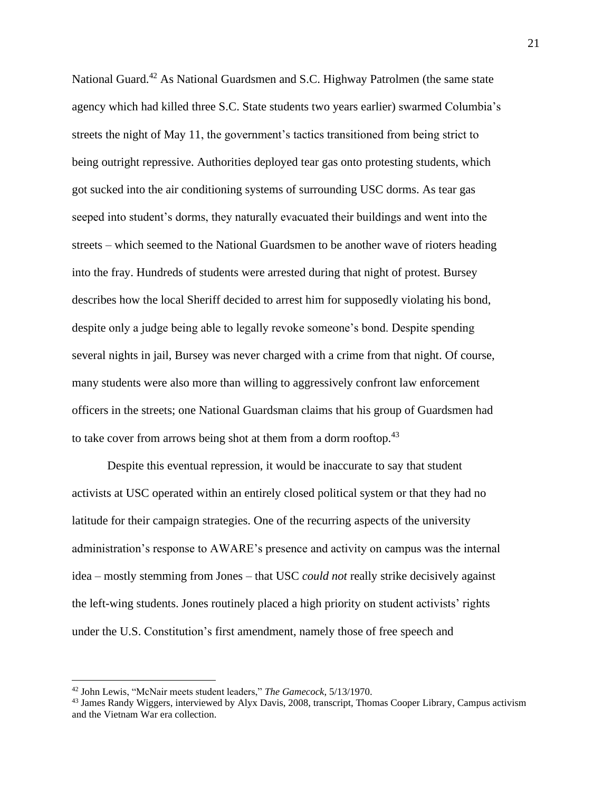National Guard.<sup>42</sup> As National Guardsmen and S.C. Highway Patrolmen (the same state agency which had killed three S.C. State students two years earlier) swarmed Columbia's streets the night of May 11, the government's tactics transitioned from being strict to being outright repressive. Authorities deployed tear gas onto protesting students, which got sucked into the air conditioning systems of surrounding USC dorms. As tear gas seeped into student's dorms, they naturally evacuated their buildings and went into the streets – which seemed to the National Guardsmen to be another wave of rioters heading into the fray. Hundreds of students were arrested during that night of protest. Bursey describes how the local Sheriff decided to arrest him for supposedly violating his bond, despite only a judge being able to legally revoke someone's bond. Despite spending several nights in jail, Bursey was never charged with a crime from that night. Of course, many students were also more than willing to aggressively confront law enforcement officers in the streets; one National Guardsman claims that his group of Guardsmen had to take cover from arrows being shot at them from a dorm rooftop.<sup>43</sup>

Despite this eventual repression, it would be inaccurate to say that student activists at USC operated within an entirely closed political system or that they had no latitude for their campaign strategies. One of the recurring aspects of the university administration's response to AWARE's presence and activity on campus was the internal idea – mostly stemming from Jones – that USC *could not* really strike decisively against the left-wing students. Jones routinely placed a high priority on student activists' rights under the U.S. Constitution's first amendment, namely those of free speech and

<sup>42</sup> John Lewis, "McNair meets student leaders," *The Gamecock*, 5/13/1970.

<sup>&</sup>lt;sup>43</sup> James Randy Wiggers, interviewed by Alyx Davis, 2008, transcript, Thomas Cooper Library, Campus activism and the Vietnam War era collection.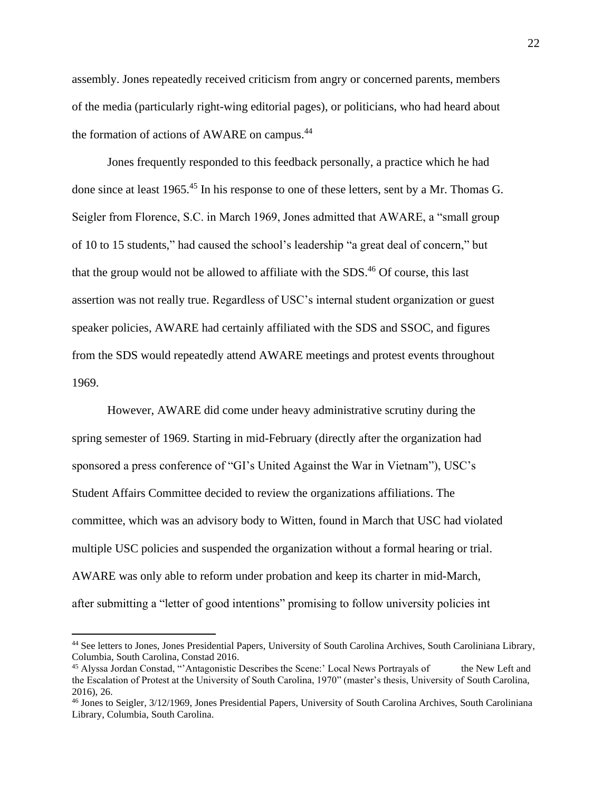assembly. Jones repeatedly received criticism from angry or concerned parents, members of the media (particularly right-wing editorial pages), or politicians, who had heard about the formation of actions of AWARE on campus.<sup>44</sup>

Jones frequently responded to this feedback personally, a practice which he had done since at least 1965.<sup>45</sup> In his response to one of these letters, sent by a Mr. Thomas G. Seigler from Florence, S.C. in March 1969, Jones admitted that AWARE, a "small group of 10 to 15 students," had caused the school's leadership "a great deal of concern," but that the group would not be allowed to affiliate with the SDS.<sup>46</sup> Of course, this last assertion was not really true. Regardless of USC's internal student organization or guest speaker policies, AWARE had certainly affiliated with the SDS and SSOC, and figures from the SDS would repeatedly attend AWARE meetings and protest events throughout 1969.

However, AWARE did come under heavy administrative scrutiny during the spring semester of 1969. Starting in mid-February (directly after the organization had sponsored a press conference of "GI's United Against the War in Vietnam"), USC's Student Affairs Committee decided to review the organizations affiliations. The committee, which was an advisory body to Witten, found in March that USC had violated multiple USC policies and suspended the organization without a formal hearing or trial. AWARE was only able to reform under probation and keep its charter in mid-March, after submitting a "letter of good intentions" promising to follow university policies int

<sup>44</sup> See letters to Jones, Jones Presidential Papers, University of South Carolina Archives, South Caroliniana Library, Columbia, South Carolina, Constad 2016.

<sup>45</sup> Alyssa Jordan Constad, "'Antagonistic Describes the Scene:' Local News Portrayals of the New Left and the Escalation of Protest at the University of South Carolina, 1970" (master's thesis, University of South Carolina, 2016), 26.

<sup>46</sup> Jones to Seigler, 3/12/1969, Jones Presidential Papers, University of South Carolina Archives, South Caroliniana Library, Columbia, South Carolina.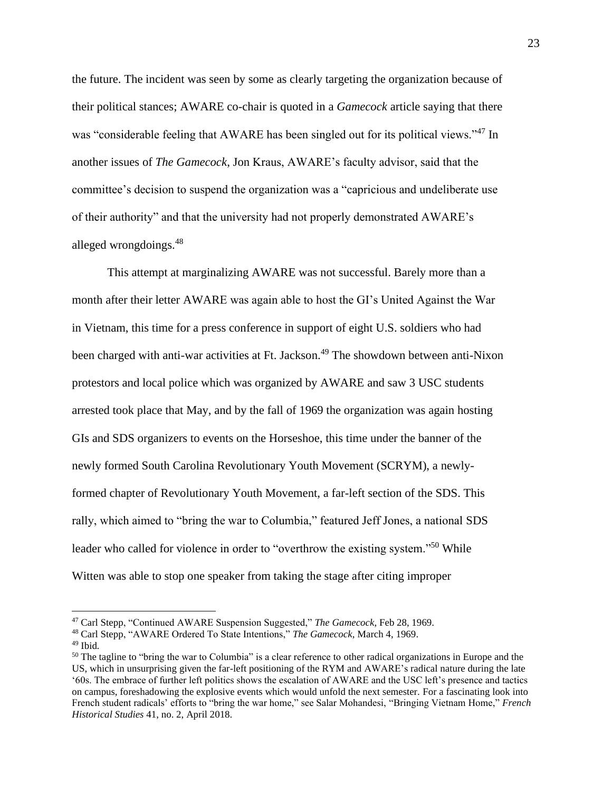the future. The incident was seen by some as clearly targeting the organization because of their political stances; AWARE co-chair is quoted in a *Gamecock* article saying that there was "considerable feeling that AWARE has been singled out for its political views."<sup>47</sup> In another issues of *The Gamecock*, Jon Kraus, AWARE's faculty advisor, said that the committee's decision to suspend the organization was a "capricious and undeliberate use of their authority" and that the university had not properly demonstrated AWARE's alleged wrongdoings.<sup>48</sup>

This attempt at marginalizing AWARE was not successful. Barely more than a month after their letter AWARE was again able to host the GI's United Against the War in Vietnam, this time for a press conference in support of eight U.S. soldiers who had been charged with anti-war activities at Ft. Jackson.<sup>49</sup> The showdown between anti-Nixon protestors and local police which was organized by AWARE and saw 3 USC students arrested took place that May, and by the fall of 1969 the organization was again hosting GIs and SDS organizers to events on the Horseshoe, this time under the banner of the newly formed South Carolina Revolutionary Youth Movement (SCRYM), a newlyformed chapter of Revolutionary Youth Movement, a far-left section of the SDS. This rally, which aimed to "bring the war to Columbia," featured Jeff Jones, a national SDS leader who called for violence in order to "overthrow the existing system."<sup>50</sup> While Witten was able to stop one speaker from taking the stage after citing improper

<sup>47</sup> Carl Stepp, "Continued AWARE Suspension Suggested," *The Gamecock*, Feb 28, 1969.

<sup>48</sup> Carl Stepp, "AWARE Ordered To State Intentions," *The Gamecock*, March 4, 1969.

<sup>49</sup> Ibid*.* 

<sup>&</sup>lt;sup>50</sup> The tagline to "bring the war to Columbia" is a clear reference to other radical organizations in Europe and the US, which in unsurprising given the far-left positioning of the RYM and AWARE's radical nature during the late '60s. The embrace of further left politics shows the escalation of AWARE and the USC left's presence and tactics on campus, foreshadowing the explosive events which would unfold the next semester. For a fascinating look into French student radicals' efforts to "bring the war home," see Salar Mohandesi, "Bringing Vietnam Home," *French Historical Studies* 41, no. 2, April 2018.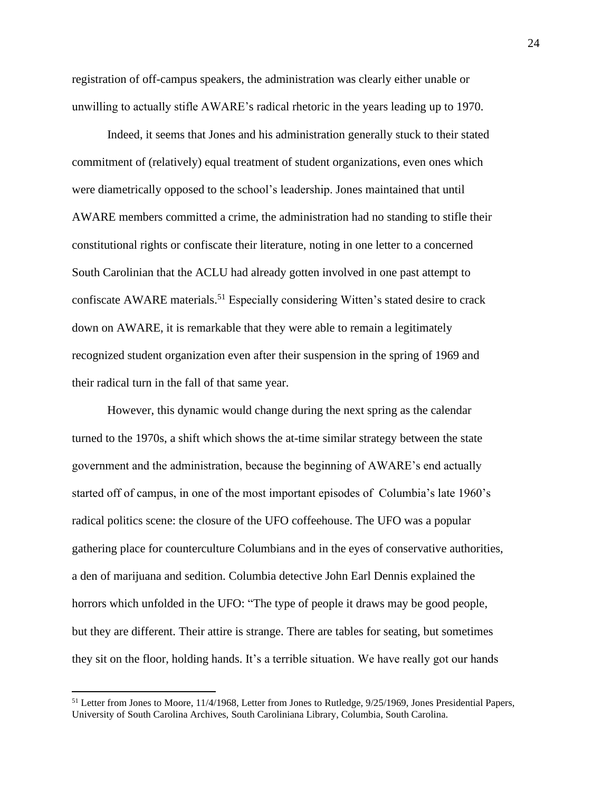registration of off-campus speakers, the administration was clearly either unable or unwilling to actually stifle AWARE's radical rhetoric in the years leading up to 1970.

Indeed, it seems that Jones and his administration generally stuck to their stated commitment of (relatively) equal treatment of student organizations, even ones which were diametrically opposed to the school's leadership. Jones maintained that until AWARE members committed a crime, the administration had no standing to stifle their constitutional rights or confiscate their literature, noting in one letter to a concerned South Carolinian that the ACLU had already gotten involved in one past attempt to confiscate AWARE materials.<sup>51</sup> Especially considering Witten's stated desire to crack down on AWARE, it is remarkable that they were able to remain a legitimately recognized student organization even after their suspension in the spring of 1969 and their radical turn in the fall of that same year.

However, this dynamic would change during the next spring as the calendar turned to the 1970s, a shift which shows the at-time similar strategy between the state government and the administration, because the beginning of AWARE's end actually started off of campus, in one of the most important episodes of Columbia's late 1960's radical politics scene: the closure of the UFO coffeehouse. The UFO was a popular gathering place for counterculture Columbians and in the eyes of conservative authorities, a den of marijuana and sedition. Columbia detective John Earl Dennis explained the horrors which unfolded in the UFO: "The type of people it draws may be good people, but they are different. Their attire is strange. There are tables for seating, but sometimes they sit on the floor, holding hands. It's a terrible situation. We have really got our hands

<sup>&</sup>lt;sup>51</sup> Letter from Jones to Moore, 11/4/1968, Letter from Jones to Rutledge, 9/25/1969, Jones Presidential Papers, University of South Carolina Archives, South Caroliniana Library, Columbia, South Carolina.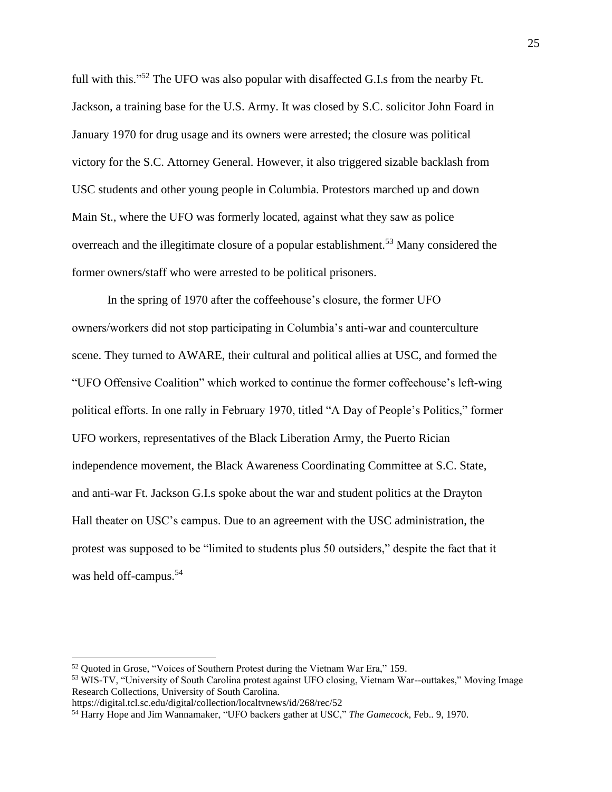full with this."<sup>52</sup> The UFO was also popular with disaffected G.I.s from the nearby Ft. Jackson, a training base for the U.S. Army. It was closed by S.C. solicitor John Foard in January 1970 for drug usage and its owners were arrested; the closure was political victory for the S.C. Attorney General. However, it also triggered sizable backlash from USC students and other young people in Columbia. Protestors marched up and down Main St., where the UFO was formerly located, against what they saw as police overreach and the illegitimate closure of a popular establishment.<sup>53</sup> Many considered the former owners/staff who were arrested to be political prisoners.

In the spring of 1970 after the coffeehouse's closure, the former UFO owners/workers did not stop participating in Columbia's anti-war and counterculture scene. They turned to AWARE, their cultural and political allies at USC, and formed the "UFO Offensive Coalition" which worked to continue the former coffeehouse's left-wing political efforts. In one rally in February 1970, titled "A Day of People's Politics," former UFO workers, representatives of the Black Liberation Army, the Puerto Rician independence movement, the Black Awareness Coordinating Committee at S.C. State, and anti-war Ft. Jackson G.I.s spoke about the war and student politics at the Drayton Hall theater on USC's campus. Due to an agreement with the USC administration, the protest was supposed to be "limited to students plus 50 outsiders," despite the fact that it was held off-campus.<sup>54</sup>

<sup>52</sup> Quoted in Grose, "Voices of Southern Protest during the Vietnam War Era," 159.

<sup>&</sup>lt;sup>53</sup> WIS-TV, "University of South Carolina protest against UFO closing, Vietnam War--outtakes," Moving Image Research Collections, University of South Carolina.

https://digital.tcl.sc.edu/digital/collection/localtvnews/id/268/rec/52

<sup>54</sup> Harry Hope and Jim Wannamaker, "UFO backers gather at USC," *The Gamecock*, Feb.. 9, 1970.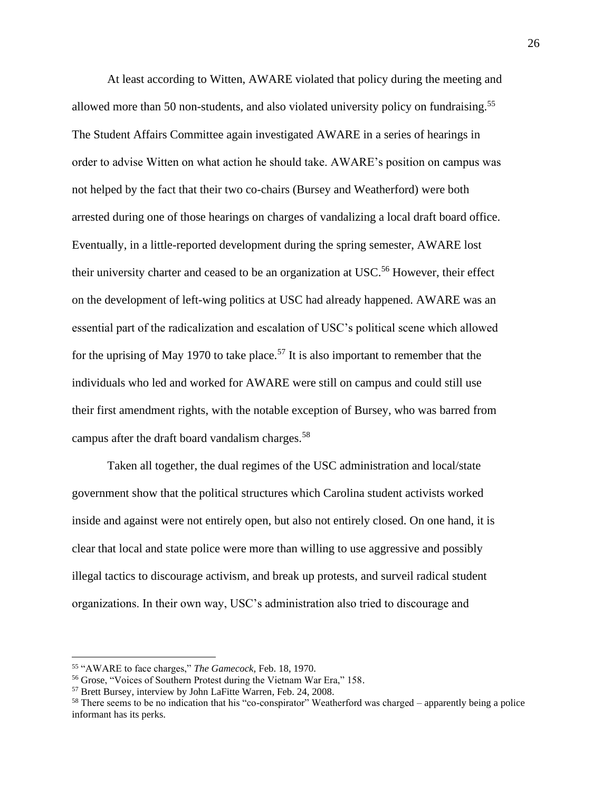At least according to Witten, AWARE violated that policy during the meeting and allowed more than 50 non-students, and also violated university policy on fundraising.<sup>55</sup> The Student Affairs Committee again investigated AWARE in a series of hearings in order to advise Witten on what action he should take. AWARE's position on campus was not helped by the fact that their two co-chairs (Bursey and Weatherford) were both arrested during one of those hearings on charges of vandalizing a local draft board office. Eventually, in a little-reported development during the spring semester, AWARE lost their university charter and ceased to be an organization at USC.<sup>56</sup> However, their effect on the development of left-wing politics at USC had already happened. AWARE was an essential part of the radicalization and escalation of USC's political scene which allowed for the uprising of May 1970 to take place.<sup>57</sup> It is also important to remember that the individuals who led and worked for AWARE were still on campus and could still use their first amendment rights, with the notable exception of Bursey, who was barred from campus after the draft board vandalism charges.<sup>58</sup>

Taken all together, the dual regimes of the USC administration and local/state government show that the political structures which Carolina student activists worked inside and against were not entirely open, but also not entirely closed. On one hand, it is clear that local and state police were more than willing to use aggressive and possibly illegal tactics to discourage activism, and break up protests, and surveil radical student organizations. In their own way, USC's administration also tried to discourage and

<sup>55</sup> "AWARE to face charges," *The Gamecock,* Feb. 18, 1970.

<sup>56</sup> Grose, "Voices of Southern Protest during the Vietnam War Era," 158.

<sup>57</sup> Brett Bursey, interview by John LaFitte Warren, Feb. 24, 2008.

<sup>&</sup>lt;sup>58</sup> There seems to be no indication that his "co-conspirator" Weatherford was charged – apparently being a police informant has its perks.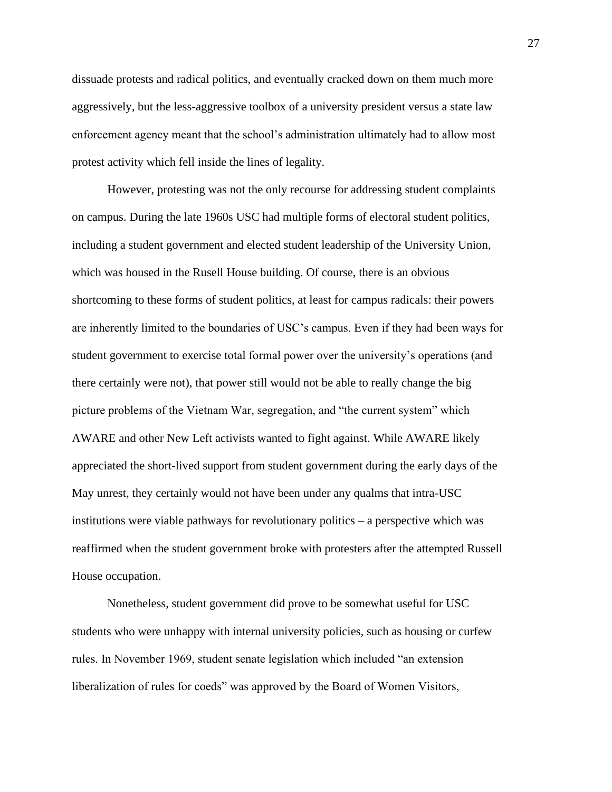dissuade protests and radical politics, and eventually cracked down on them much more aggressively, but the less-aggressive toolbox of a university president versus a state law enforcement agency meant that the school's administration ultimately had to allow most protest activity which fell inside the lines of legality.

However, protesting was not the only recourse for addressing student complaints on campus. During the late 1960s USC had multiple forms of electoral student politics, including a student government and elected student leadership of the University Union, which was housed in the Rusell House building. Of course, there is an obvious shortcoming to these forms of student politics, at least for campus radicals: their powers are inherently limited to the boundaries of USC's campus. Even if they had been ways for student government to exercise total formal power over the university's operations (and there certainly were not), that power still would not be able to really change the big picture problems of the Vietnam War, segregation, and "the current system" which AWARE and other New Left activists wanted to fight against. While AWARE likely appreciated the short-lived support from student government during the early days of the May unrest, they certainly would not have been under any qualms that intra-USC institutions were viable pathways for revolutionary politics – a perspective which was reaffirmed when the student government broke with protesters after the attempted Russell House occupation.

Nonetheless, student government did prove to be somewhat useful for USC students who were unhappy with internal university policies, such as housing or curfew rules. In November 1969, student senate legislation which included "an extension liberalization of rules for coeds" was approved by the Board of Women Visitors,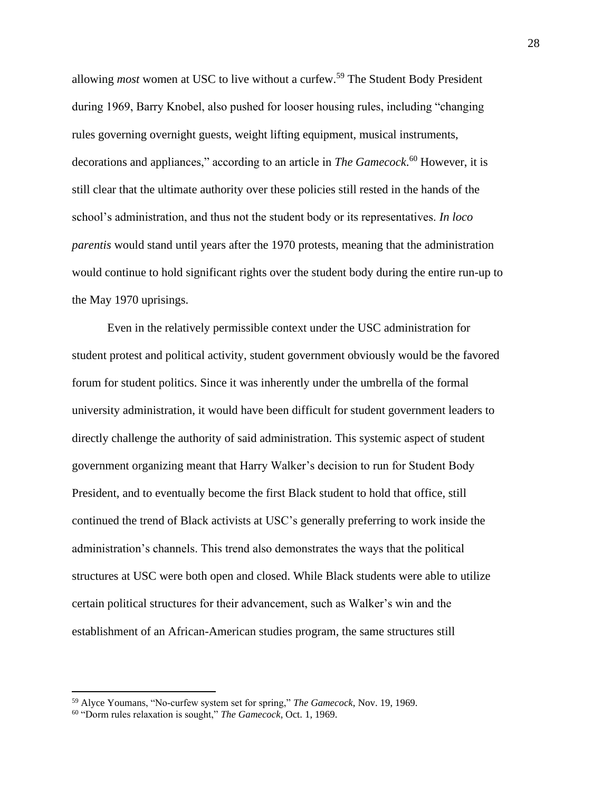allowing *most* women at USC to live without a curfew.<sup>59</sup> The Student Body President during 1969, Barry Knobel, also pushed for looser housing rules, including "changing rules governing overnight guests, weight lifting equipment, musical instruments, decorations and appliances," according to an article in *The Gamecock*. <sup>60</sup> However, it is still clear that the ultimate authority over these policies still rested in the hands of the school's administration, and thus not the student body or its representatives. *In loco parentis* would stand until years after the 1970 protests, meaning that the administration would continue to hold significant rights over the student body during the entire run-up to the May 1970 uprisings.

Even in the relatively permissible context under the USC administration for student protest and political activity, student government obviously would be the favored forum for student politics. Since it was inherently under the umbrella of the formal university administration, it would have been difficult for student government leaders to directly challenge the authority of said administration. This systemic aspect of student government organizing meant that Harry Walker's decision to run for Student Body President, and to eventually become the first Black student to hold that office, still continued the trend of Black activists at USC's generally preferring to work inside the administration's channels. This trend also demonstrates the ways that the political structures at USC were both open and closed. While Black students were able to utilize certain political structures for their advancement, such as Walker's win and the establishment of an African-American studies program, the same structures still

<sup>59</sup> Alyce Youmans, "No-curfew system set for spring," *The Gamecock*, Nov. 19, 1969.

<sup>60</sup> "Dorm rules relaxation is sought," *The Gamecock*, Oct. 1, 1969.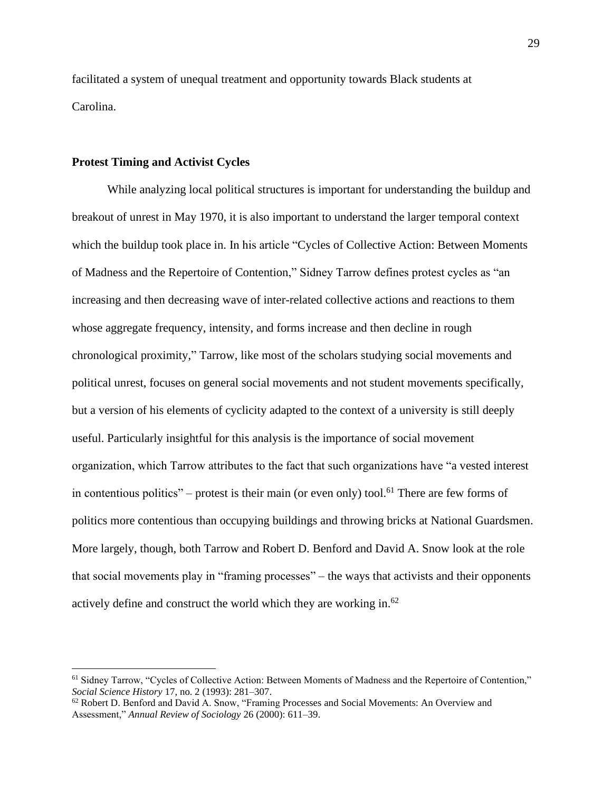facilitated a system of unequal treatment and opportunity towards Black students at Carolina.

#### **Protest Timing and Activist Cycles**

While analyzing local political structures is important for understanding the buildup and breakout of unrest in May 1970, it is also important to understand the larger temporal context which the buildup took place in. In his article "Cycles of Collective Action: Between Moments of Madness and the Repertoire of Contention," Sidney Tarrow defines protest cycles as "an increasing and then decreasing wave of inter-related collective actions and reactions to them whose aggregate frequency, intensity, and forms increase and then decline in rough chronological proximity," Tarrow, like most of the scholars studying social movements and political unrest, focuses on general social movements and not student movements specifically, but a version of his elements of cyclicity adapted to the context of a university is still deeply useful. Particularly insightful for this analysis is the importance of social movement organization, which Tarrow attributes to the fact that such organizations have "a vested interest in contentious politics" – protest is their main (or even only) tool.<sup>61</sup> There are few forms of politics more contentious than occupying buildings and throwing bricks at National Guardsmen. More largely, though, both Tarrow and Robert D. Benford and David A. Snow look at the role that social movements play in "framing processes" – the ways that activists and their opponents actively define and construct the world which they are working in.<sup>62</sup>

<sup>&</sup>lt;sup>61</sup> Sidney Tarrow, "Cycles of Collective Action: Between Moments of Madness and the Repertoire of Contention," *Social Science History* 17, no. 2 (1993): 281–307.

<sup>62</sup> Robert D. Benford and David A. Snow, "Framing Processes and Social Movements: An Overview and Assessment," *Annual Review of Sociology* 26 (2000): 611–39.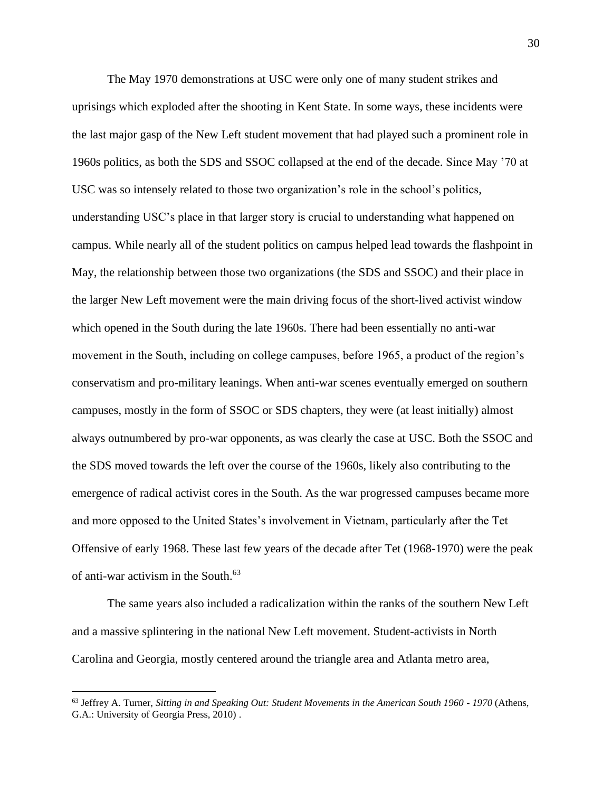The May 1970 demonstrations at USC were only one of many student strikes and uprisings which exploded after the shooting in Kent State. In some ways, these incidents were the last major gasp of the New Left student movement that had played such a prominent role in 1960s politics, as both the SDS and SSOC collapsed at the end of the decade. Since May '70 at USC was so intensely related to those two organization's role in the school's politics, understanding USC's place in that larger story is crucial to understanding what happened on campus. While nearly all of the student politics on campus helped lead towards the flashpoint in May, the relationship between those two organizations (the SDS and SSOC) and their place in the larger New Left movement were the main driving focus of the short-lived activist window which opened in the South during the late 1960s. There had been essentially no anti-war movement in the South, including on college campuses, before 1965, a product of the region's conservatism and pro-military leanings. When anti-war scenes eventually emerged on southern campuses, mostly in the form of SSOC or SDS chapters, they were (at least initially) almost always outnumbered by pro-war opponents, as was clearly the case at USC. Both the SSOC and the SDS moved towards the left over the course of the 1960s, likely also contributing to the emergence of radical activist cores in the South. As the war progressed campuses became more and more opposed to the United States's involvement in Vietnam, particularly after the Tet Offensive of early 1968. These last few years of the decade after Tet (1968-1970) were the peak of anti-war activism in the South. 63

The same years also included a radicalization within the ranks of the southern New Left and a massive splintering in the national New Left movement. Student-activists in North Carolina and Georgia, mostly centered around the triangle area and Atlanta metro area,

<sup>63</sup> Jeffrey A. Turner, *Sitting in and Speaking Out: Student Movements in the American South 1960 - 1970* (Athens, G.A.: University of Georgia Press, 2010) .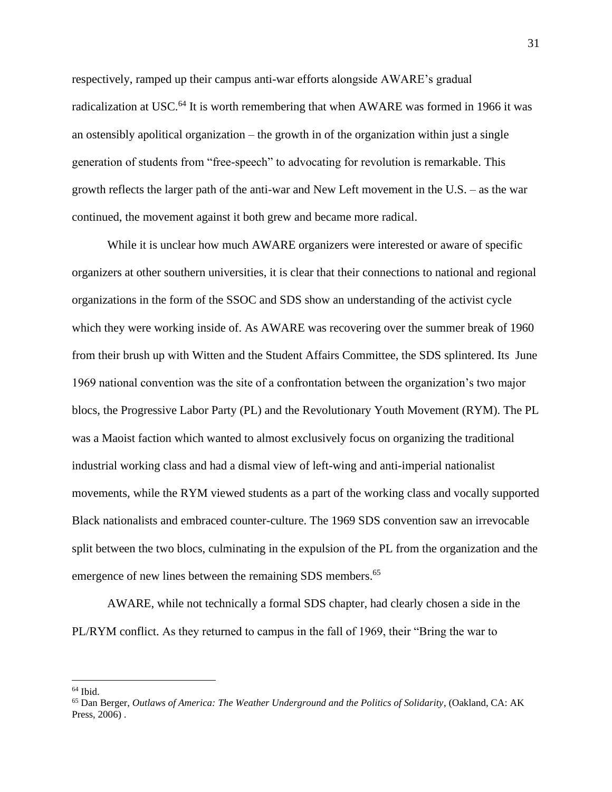respectively, ramped up their campus anti-war efforts alongside AWARE's gradual radicalization at USC.<sup>64</sup> It is worth remembering that when AWARE was formed in 1966 it was an ostensibly apolitical organization – the growth in of the organization within just a single generation of students from "free-speech" to advocating for revolution is remarkable. This growth reflects the larger path of the anti-war and New Left movement in the U.S. – as the war continued, the movement against it both grew and became more radical.

While it is unclear how much AWARE organizers were interested or aware of specific organizers at other southern universities, it is clear that their connections to national and regional organizations in the form of the SSOC and SDS show an understanding of the activist cycle which they were working inside of. As AWARE was recovering over the summer break of 1960 from their brush up with Witten and the Student Affairs Committee, the SDS splintered. Its June 1969 national convention was the site of a confrontation between the organization's two major blocs, the Progressive Labor Party (PL) and the Revolutionary Youth Movement (RYM). The PL was a Maoist faction which wanted to almost exclusively focus on organizing the traditional industrial working class and had a dismal view of left-wing and anti-imperial nationalist movements, while the RYM viewed students as a part of the working class and vocally supported Black nationalists and embraced counter-culture. The 1969 SDS convention saw an irrevocable split between the two blocs, culminating in the expulsion of the PL from the organization and the emergence of new lines between the remaining SDS members.<sup>65</sup>

AWARE, while not technically a formal SDS chapter, had clearly chosen a side in the PL/RYM conflict. As they returned to campus in the fall of 1969, their "Bring the war to

 $64$  Ibid.

<sup>65</sup> Dan Berger, *Outlaws of America: The Weather Underground and the Politics of Solidarity*, (Oakland, CA: AK Press, 2006) .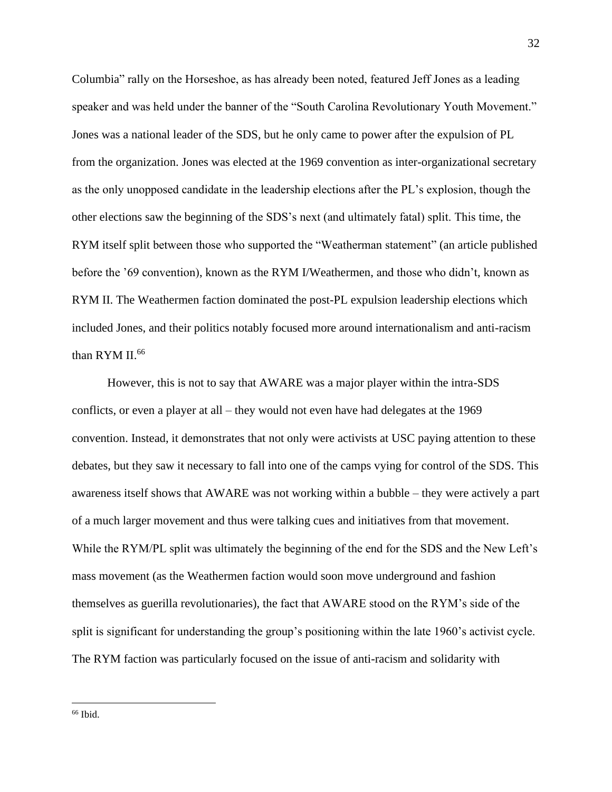Columbia" rally on the Horseshoe, as has already been noted, featured Jeff Jones as a leading speaker and was held under the banner of the "South Carolina Revolutionary Youth Movement." Jones was a national leader of the SDS, but he only came to power after the expulsion of PL from the organization. Jones was elected at the 1969 convention as inter-organizational secretary as the only unopposed candidate in the leadership elections after the PL's explosion, though the other elections saw the beginning of the SDS's next (and ultimately fatal) split. This time, the RYM itself split between those who supported the "Weatherman statement" (an article published before the '69 convention), known as the RYM I/Weathermen, and those who didn't, known as RYM II. The Weathermen faction dominated the post-PL expulsion leadership elections which included Jones, and their politics notably focused more around internationalism and anti-racism than RYM II.<sup>66</sup>

However, this is not to say that AWARE was a major player within the intra-SDS conflicts, or even a player at all – they would not even have had delegates at the 1969 convention. Instead, it demonstrates that not only were activists at USC paying attention to these debates, but they saw it necessary to fall into one of the camps vying for control of the SDS. This awareness itself shows that AWARE was not working within a bubble – they were actively a part of a much larger movement and thus were talking cues and initiatives from that movement. While the RYM/PL split was ultimately the beginning of the end for the SDS and the New Left's mass movement (as the Weathermen faction would soon move underground and fashion themselves as guerilla revolutionaries), the fact that AWARE stood on the RYM's side of the split is significant for understanding the group's positioning within the late 1960's activist cycle. The RYM faction was particularly focused on the issue of anti-racism and solidarity with

 $66$  Ibid.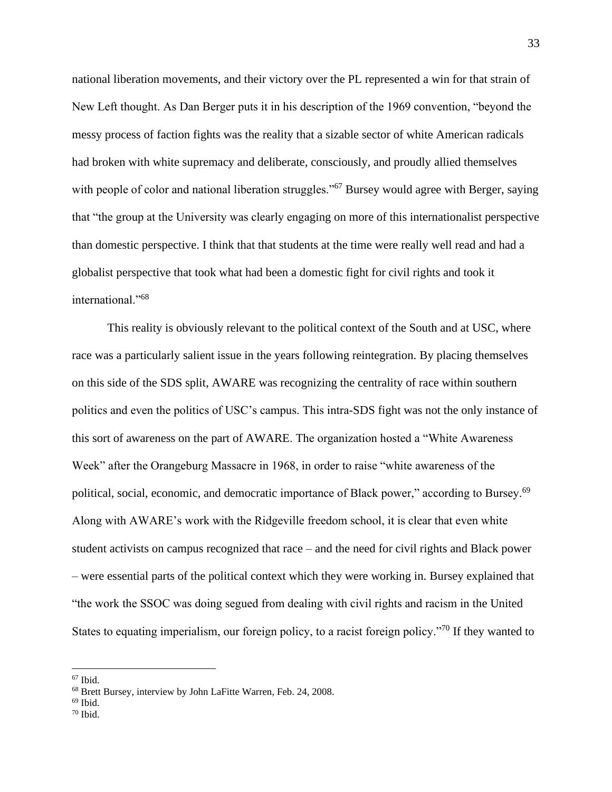national liberation movements, and their victory over the PL represented a win for that strain of New Left thought. As Dan Berger puts it in his description of the 1969 convention, "beyond the messy process of faction fights was the reality that a sizable sector of white American radicals had broken with white supremacy and deliberate, consciously, and proudly allied themselves with people of color and national liberation struggles."<sup>67</sup> Bursey would agree with Berger, saying that "the group at the University was clearly engaging on more of this internationalist perspective than domestic perspective. I think that that students at the time were really well read and had a globalist perspective that took what had been a domestic fight for civil rights and took it international."<sup>68</sup>

This reality is obviously relevant to the political context of the South and at USC, where race was a particularly salient issue in the years following reintegration. By placing themselves on this side of the SDS split, AWARE was recognizing the centrality of race within southern politics and even the politics of USC's campus. This intra-SDS fight was not the only instance of this sort of awareness on the part of AWARE. The organization hosted a "White Awareness Week" after the Orangeburg Massacre in 1968, in order to raise "white awareness of the political, social, economic, and democratic importance of Black power," according to Bursey.<sup>69</sup> Along with AWARE's work with the Ridgeville freedom school, it is clear that even white student activists on campus recognized that race – and the need for civil rights and Black power – were essential parts of the political context which they were working in. Bursey explained that "the work the SSOC was doing segued from dealing with civil rights and racism in the United States to equating imperialism, our foreign policy, to a racist foreign policy."<sup>70</sup> If they wanted to

 $67$  Ibid.

<sup>68</sup> Brett Bursey, interview by John LaFitte Warren, Feb. 24, 2008.

 $69$  Ibid.

 $70$  Ibid.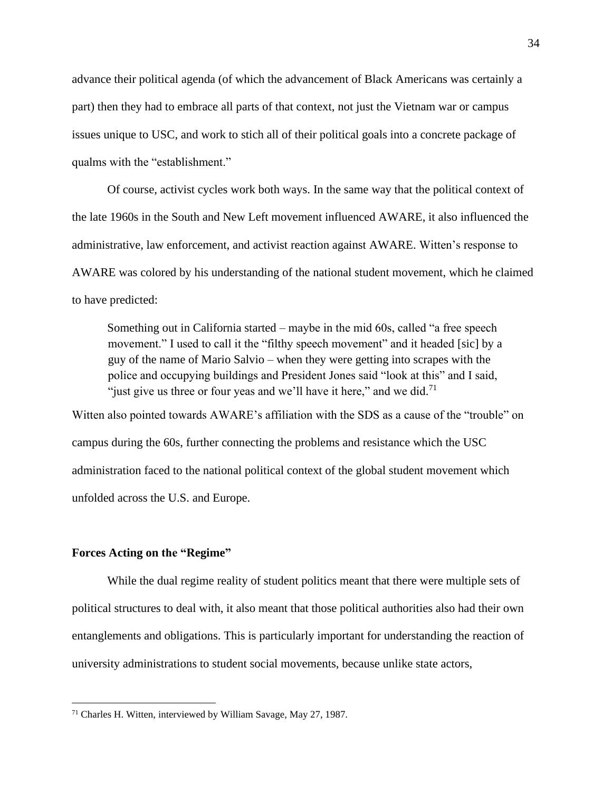advance their political agenda (of which the advancement of Black Americans was certainly a part) then they had to embrace all parts of that context, not just the Vietnam war or campus issues unique to USC, and work to stich all of their political goals into a concrete package of qualms with the "establishment."

Of course, activist cycles work both ways. In the same way that the political context of the late 1960s in the South and New Left movement influenced AWARE, it also influenced the administrative, law enforcement, and activist reaction against AWARE. Witten's response to AWARE was colored by his understanding of the national student movement, which he claimed to have predicted:

Something out in California started – maybe in the mid 60s, called "a free speech movement." I used to call it the "filthy speech movement" and it headed [sic] by a guy of the name of Mario Salvio – when they were getting into scrapes with the police and occupying buildings and President Jones said "look at this" and I said, "just give us three or four yeas and we'll have it here," and we did.<sup>71</sup>

Witten also pointed towards AWARE's affiliation with the SDS as a cause of the "trouble" on campus during the 60s, further connecting the problems and resistance which the USC administration faced to the national political context of the global student movement which unfolded across the U.S. and Europe.

#### **Forces Acting on the "Regime"**

While the dual regime reality of student politics meant that there were multiple sets of political structures to deal with, it also meant that those political authorities also had their own entanglements and obligations. This is particularly important for understanding the reaction of university administrations to student social movements, because unlike state actors,

<sup>71</sup> Charles H. Witten, interviewed by William Savage, May 27, 1987.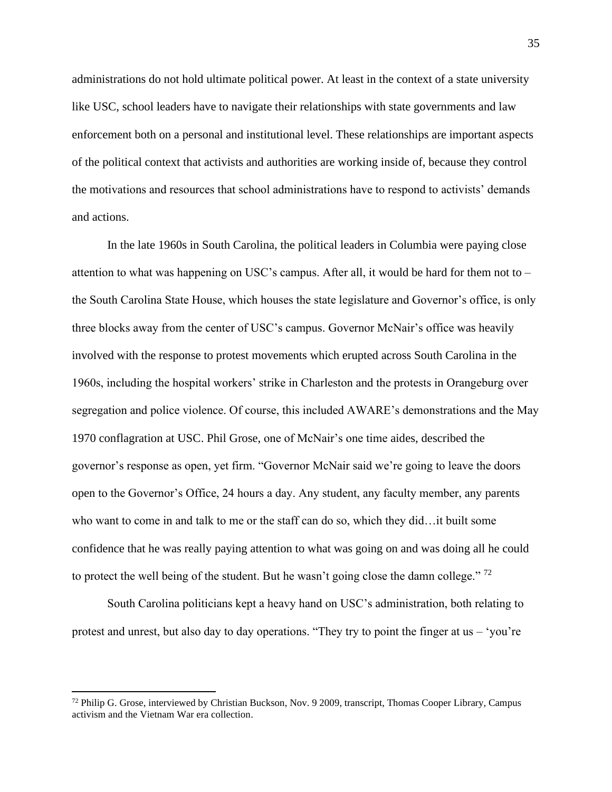administrations do not hold ultimate political power. At least in the context of a state university like USC, school leaders have to navigate their relationships with state governments and law enforcement both on a personal and institutional level. These relationships are important aspects of the political context that activists and authorities are working inside of, because they control the motivations and resources that school administrations have to respond to activists' demands and actions.

In the late 1960s in South Carolina, the political leaders in Columbia were paying close attention to what was happening on USC's campus. After all, it would be hard for them not to – the South Carolina State House, which houses the state legislature and Governor's office, is only three blocks away from the center of USC's campus. Governor McNair's office was heavily involved with the response to protest movements which erupted across South Carolina in the 1960s, including the hospital workers' strike in Charleston and the protests in Orangeburg over segregation and police violence. Of course, this included AWARE's demonstrations and the May 1970 conflagration at USC. Phil Grose, one of McNair's one time aides, described the governor's response as open, yet firm. "Governor McNair said we're going to leave the doors open to the Governor's Office, 24 hours a day. Any student, any faculty member, any parents who want to come in and talk to me or the staff can do so, which they did…it built some confidence that he was really paying attention to what was going on and was doing all he could to protect the well being of the student. But he wasn't going close the damn college."  $72$ 

South Carolina politicians kept a heavy hand on USC's administration, both relating to protest and unrest, but also day to day operations. "They try to point the finger at us – 'you're

<sup>72</sup> Philip G. Grose, interviewed by Christian Buckson, Nov. 9 2009, transcript, Thomas Cooper Library, Campus activism and the Vietnam War era collection.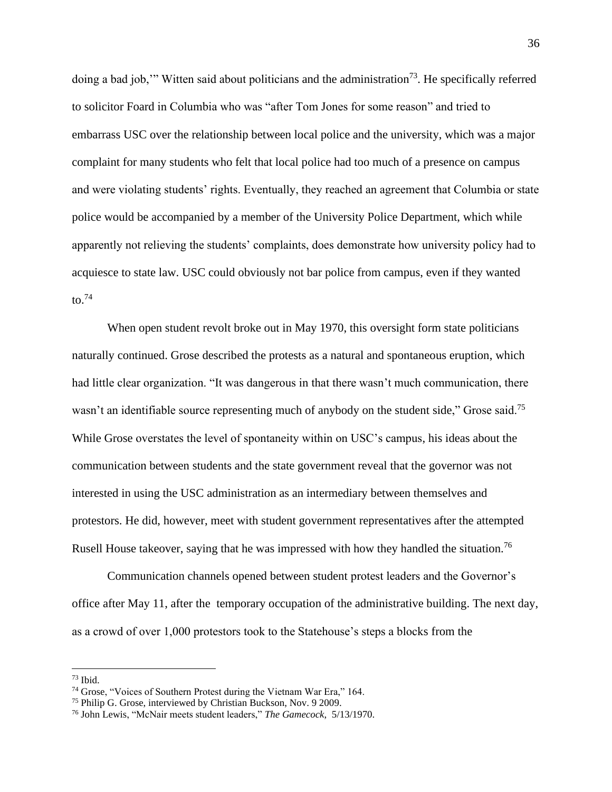doing a bad job," Witten said about politicians and the administration<sup>73</sup>. He specifically referred to solicitor Foard in Columbia who was "after Tom Jones for some reason" and tried to embarrass USC over the relationship between local police and the university, which was a major complaint for many students who felt that local police had too much of a presence on campus and were violating students' rights. Eventually, they reached an agreement that Columbia or state police would be accompanied by a member of the University Police Department, which while apparently not relieving the students' complaints, does demonstrate how university policy had to acquiesce to state law. USC could obviously not bar police from campus, even if they wanted to. $74$ 

When open student revolt broke out in May 1970, this oversight form state politicians naturally continued. Grose described the protests as a natural and spontaneous eruption, which had little clear organization. "It was dangerous in that there wasn't much communication, there wasn't an identifiable source representing much of anybody on the student side," Grose said.<sup>75</sup> While Grose overstates the level of spontaneity within on USC's campus, his ideas about the communication between students and the state government reveal that the governor was not interested in using the USC administration as an intermediary between themselves and protestors. He did, however, meet with student government representatives after the attempted Rusell House takeover, saying that he was impressed with how they handled the situation.<sup>76</sup>

Communication channels opened between student protest leaders and the Governor's office after May 11, after the temporary occupation of the administrative building. The next day, as a crowd of over 1,000 protestors took to the Statehouse's steps a blocks from the

 $73$  Ibid.

<sup>74</sup> Grose, "Voices of Southern Protest during the Vietnam War Era," 164.

<sup>75</sup> Philip G. Grose, interviewed by Christian Buckson, Nov. 9 2009.

<sup>76</sup> John Lewis, "McNair meets student leaders," *The Gamecock*, 5/13/1970.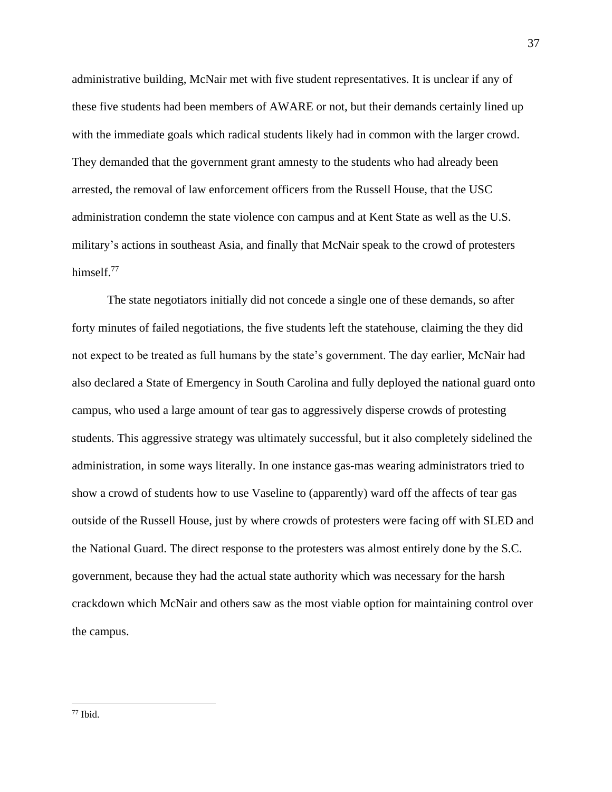administrative building, McNair met with five student representatives. It is unclear if any of these five students had been members of AWARE or not, but their demands certainly lined up with the immediate goals which radical students likely had in common with the larger crowd. They demanded that the government grant amnesty to the students who had already been arrested, the removal of law enforcement officers from the Russell House, that the USC administration condemn the state violence con campus and at Kent State as well as the U.S. military's actions in southeast Asia, and finally that McNair speak to the crowd of protesters himself.<sup>77</sup>

The state negotiators initially did not concede a single one of these demands, so after forty minutes of failed negotiations, the five students left the statehouse, claiming the they did not expect to be treated as full humans by the state's government. The day earlier, McNair had also declared a State of Emergency in South Carolina and fully deployed the national guard onto campus, who used a large amount of tear gas to aggressively disperse crowds of protesting students. This aggressive strategy was ultimately successful, but it also completely sidelined the administration, in some ways literally. In one instance gas-mas wearing administrators tried to show a crowd of students how to use Vaseline to (apparently) ward off the affects of tear gas outside of the Russell House, just by where crowds of protesters were facing off with SLED and the National Guard. The direct response to the protesters was almost entirely done by the S.C. government, because they had the actual state authority which was necessary for the harsh crackdown which McNair and others saw as the most viable option for maintaining control over the campus.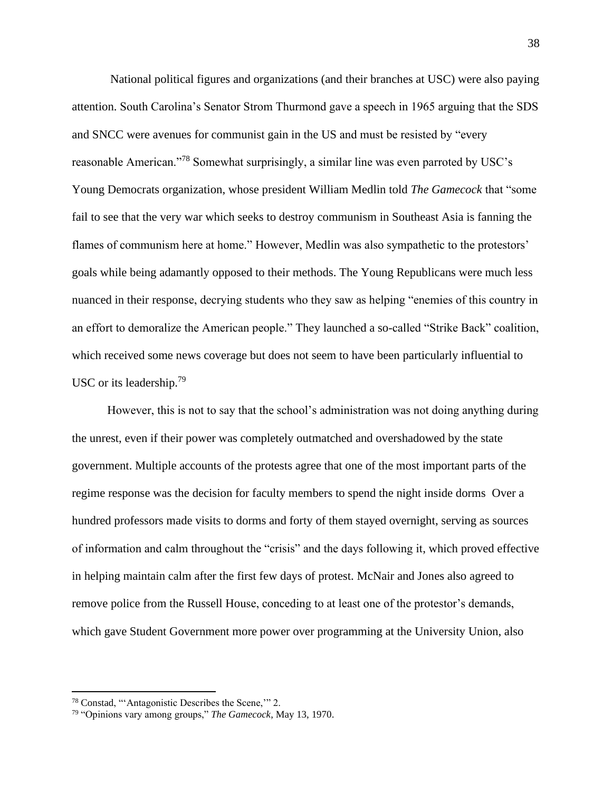National political figures and organizations (and their branches at USC) were also paying attention. South Carolina's Senator Strom Thurmond gave a speech in 1965 arguing that the SDS and SNCC were avenues for communist gain in the US and must be resisted by "every reasonable American."<sup>78</sup> Somewhat surprisingly, a similar line was even parroted by USC's Young Democrats organization, whose president William Medlin told *The Gamecock* that "some fail to see that the very war which seeks to destroy communism in Southeast Asia is fanning the flames of communism here at home." However, Medlin was also sympathetic to the protestors' goals while being adamantly opposed to their methods. The Young Republicans were much less nuanced in their response, decrying students who they saw as helping "enemies of this country in an effort to demoralize the American people." They launched a so-called "Strike Back" coalition, which received some news coverage but does not seem to have been particularly influential to USC or its leadership.<sup>79</sup>

However, this is not to say that the school's administration was not doing anything during the unrest, even if their power was completely outmatched and overshadowed by the state government. Multiple accounts of the protests agree that one of the most important parts of the regime response was the decision for faculty members to spend the night inside dorms Over a hundred professors made visits to dorms and forty of them stayed overnight, serving as sources of information and calm throughout the "crisis" and the days following it, which proved effective in helping maintain calm after the first few days of protest. McNair and Jones also agreed to remove police from the Russell House, conceding to at least one of the protestor's demands, which gave Student Government more power over programming at the University Union, also

<sup>78</sup> Constad, "'Antagonistic Describes the Scene,'" 2.

<sup>79</sup> "Opinions vary among groups," *The Gamecock*, May 13, 1970.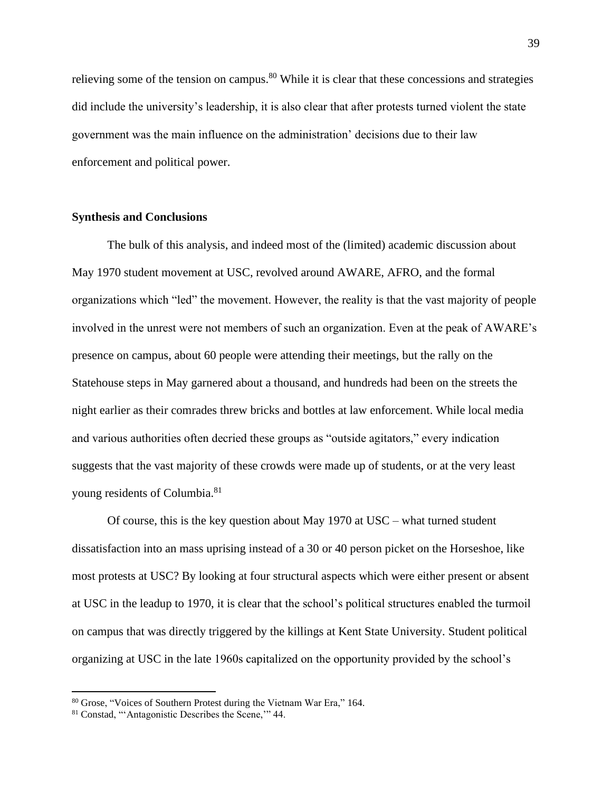relieving some of the tension on campus.<sup>80</sup> While it is clear that these concessions and strategies did include the university's leadership, it is also clear that after protests turned violent the state government was the main influence on the administration' decisions due to their law enforcement and political power.

#### **Synthesis and Conclusions**

The bulk of this analysis, and indeed most of the (limited) academic discussion about May 1970 student movement at USC, revolved around AWARE, AFRO, and the formal organizations which "led" the movement. However, the reality is that the vast majority of people involved in the unrest were not members of such an organization. Even at the peak of AWARE's presence on campus, about 60 people were attending their meetings, but the rally on the Statehouse steps in May garnered about a thousand, and hundreds had been on the streets the night earlier as their comrades threw bricks and bottles at law enforcement. While local media and various authorities often decried these groups as "outside agitators," every indication suggests that the vast majority of these crowds were made up of students, or at the very least young residents of Columbia.<sup>81</sup>

Of course, this is the key question about May 1970 at USC – what turned student dissatisfaction into an mass uprising instead of a 30 or 40 person picket on the Horseshoe, like most protests at USC? By looking at four structural aspects which were either present or absent at USC in the leadup to 1970, it is clear that the school's political structures enabled the turmoil on campus that was directly triggered by the killings at Kent State University. Student political organizing at USC in the late 1960s capitalized on the opportunity provided by the school's

<sup>80</sup> Grose, "Voices of Southern Protest during the Vietnam War Era," 164.

<sup>81</sup> Constad, "'Antagonistic Describes the Scene,'" 44.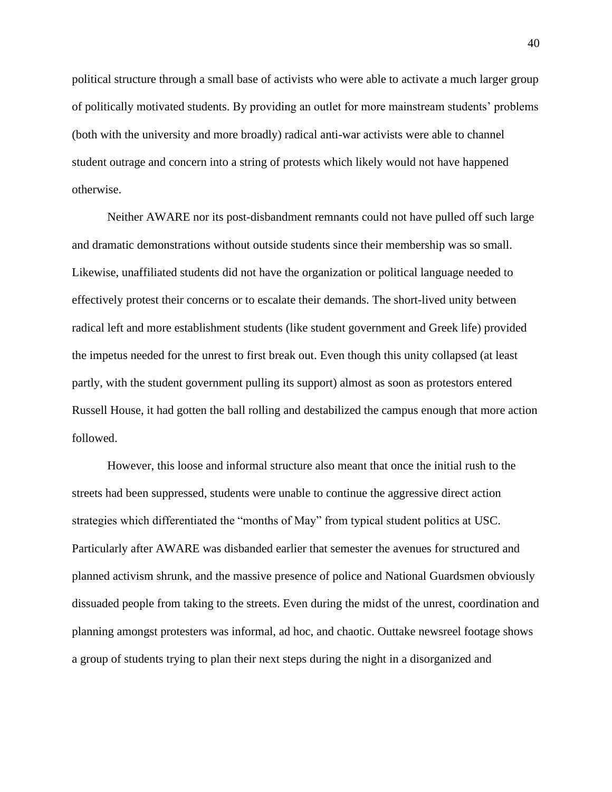political structure through a small base of activists who were able to activate a much larger group of politically motivated students. By providing an outlet for more mainstream students' problems (both with the university and more broadly) radical anti-war activists were able to channel student outrage and concern into a string of protests which likely would not have happened otherwise.

Neither AWARE nor its post-disbandment remnants could not have pulled off such large and dramatic demonstrations without outside students since their membership was so small. Likewise, unaffiliated students did not have the organization or political language needed to effectively protest their concerns or to escalate their demands. The short-lived unity between radical left and more establishment students (like student government and Greek life) provided the impetus needed for the unrest to first break out. Even though this unity collapsed (at least partly, with the student government pulling its support) almost as soon as protestors entered Russell House, it had gotten the ball rolling and destabilized the campus enough that more action followed.

However, this loose and informal structure also meant that once the initial rush to the streets had been suppressed, students were unable to continue the aggressive direct action strategies which differentiated the "months of May" from typical student politics at USC. Particularly after AWARE was disbanded earlier that semester the avenues for structured and planned activism shrunk, and the massive presence of police and National Guardsmen obviously dissuaded people from taking to the streets. Even during the midst of the unrest, coordination and planning amongst protesters was informal, ad hoc, and chaotic. Outtake newsreel footage shows a group of students trying to plan their next steps during the night in a disorganized and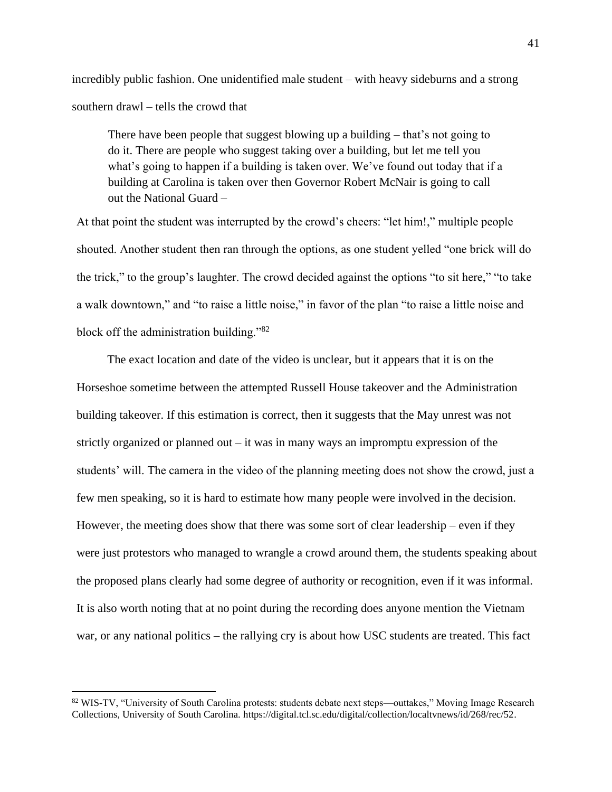incredibly public fashion. One unidentified male student – with heavy sideburns and a strong southern drawl – tells the crowd that

There have been people that suggest blowing up a building – that's not going to do it. There are people who suggest taking over a building, but let me tell you what's going to happen if a building is taken over. We've found out today that if a building at Carolina is taken over then Governor Robert McNair is going to call out the National Guard –

At that point the student was interrupted by the crowd's cheers: "let him!," multiple people shouted. Another student then ran through the options, as one student yelled "one brick will do the trick," to the group's laughter. The crowd decided against the options "to sit here," "to take a walk downtown," and "to raise a little noise," in favor of the plan "to raise a little noise and block off the administration building."<sup>82</sup>

The exact location and date of the video is unclear, but it appears that it is on the Horseshoe sometime between the attempted Russell House takeover and the Administration building takeover. If this estimation is correct, then it suggests that the May unrest was not strictly organized or planned out – it was in many ways an impromptu expression of the students' will. The camera in the video of the planning meeting does not show the crowd, just a few men speaking, so it is hard to estimate how many people were involved in the decision. However, the meeting does show that there was some sort of clear leadership – even if they were just protestors who managed to wrangle a crowd around them, the students speaking about the proposed plans clearly had some degree of authority or recognition, even if it was informal. It is also worth noting that at no point during the recording does anyone mention the Vietnam war, or any national politics – the rallying cry is about how USC students are treated. This fact

<sup>82</sup> WIS-TV, "University of South Carolina protests: students debate next steps—outtakes," Moving Image Research Collections, University of South Carolina. https://digital.tcl.sc.edu/digital/collection/localtvnews/id/268/rec/52.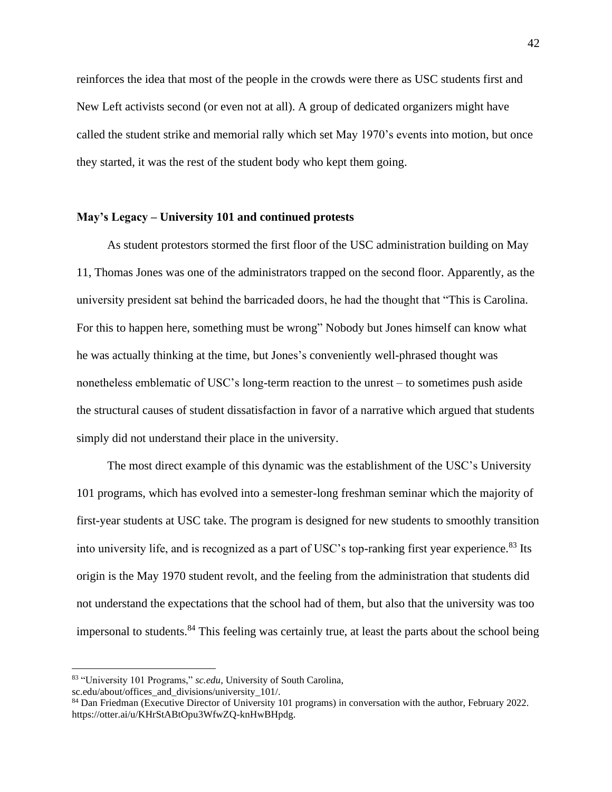reinforces the idea that most of the people in the crowds were there as USC students first and New Left activists second (or even not at all). A group of dedicated organizers might have called the student strike and memorial rally which set May 1970's events into motion, but once they started, it was the rest of the student body who kept them going.

#### **May's Legacy – University 101 and continued protests**

As student protestors stormed the first floor of the USC administration building on May 11, Thomas Jones was one of the administrators trapped on the second floor. Apparently, as the university president sat behind the barricaded doors, he had the thought that "This is Carolina. For this to happen here, something must be wrong" Nobody but Jones himself can know what he was actually thinking at the time, but Jones's conveniently well-phrased thought was nonetheless emblematic of USC's long-term reaction to the unrest – to sometimes push aside the structural causes of student dissatisfaction in favor of a narrative which argued that students simply did not understand their place in the university.

The most direct example of this dynamic was the establishment of the USC's University 101 programs, which has evolved into a semester-long freshman seminar which the majority of first-year students at USC take. The program is designed for new students to smoothly transition into university life, and is recognized as a part of USC's top-ranking first year experience.<sup>83</sup> Its origin is the May 1970 student revolt, and the feeling from the administration that students did not understand the expectations that the school had of them, but also that the university was too impersonal to students. $84$  This feeling was certainly true, at least the parts about the school being

<sup>83</sup> "University 101 Programs," *sc.edu*, University of South Carolina,

sc.edu/about/offices\_and\_divisions/university\_101/.

<sup>84</sup> Dan Friedman (Executive Director of University 101 programs) in conversation with the author, February 2022. https://otter.ai/u/KHrStABtOpu3WfwZQ-knHwBHpdg.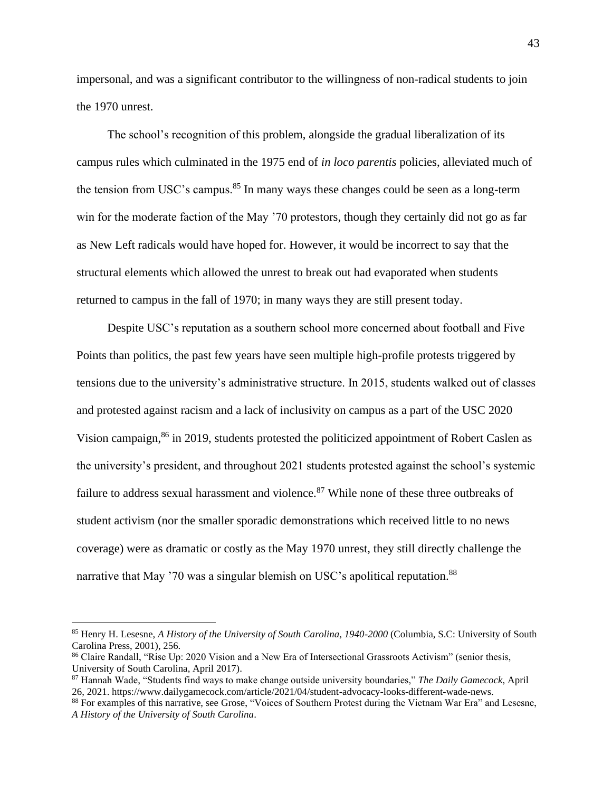impersonal, and was a significant contributor to the willingness of non-radical students to join the 1970 unrest.

The school's recognition of this problem, alongside the gradual liberalization of its campus rules which culminated in the 1975 end of *in loco parentis* policies, alleviated much of the tension from USC's campus.<sup>85</sup> In many ways these changes could be seen as a long-term win for the moderate faction of the May '70 protestors, though they certainly did not go as far as New Left radicals would have hoped for. However, it would be incorrect to say that the structural elements which allowed the unrest to break out had evaporated when students returned to campus in the fall of 1970; in many ways they are still present today.

Despite USC's reputation as a southern school more concerned about football and Five Points than politics, the past few years have seen multiple high-profile protests triggered by tensions due to the university's administrative structure. In 2015, students walked out of classes and protested against racism and a lack of inclusivity on campus as a part of the USC 2020 Vision campaign,<sup>86</sup> in 2019, students protested the politicized appointment of Robert Caslen as the university's president, and throughout 2021 students protested against the school's systemic failure to address sexual harassment and violence.<sup>87</sup> While none of these three outbreaks of student activism (nor the smaller sporadic demonstrations which received little to no news coverage) were as dramatic or costly as the May 1970 unrest, they still directly challenge the narrative that May '70 was a singular blemish on USC's apolitical reputation.<sup>88</sup>

<sup>85</sup> Henry H. Lesesne, *A History of the University of South Carolina, 1940-2000* (Columbia, S.C: University of South Carolina Press, 2001), 256.

<sup>86</sup> Claire Randall, "Rise Up: 2020 Vision and a New Era of Intersectional Grassroots Activism" (senior thesis, University of South Carolina, April 2017).

<sup>87</sup> Hannah Wade, "Students find ways to make change outside university boundaries," *The Daily Gamecock*, April 26, 2021. https://www.dailygamecock.com/article/2021/04/student-advocacy-looks-different-wade-news.

<sup>88</sup> For examples of this narrative, see Grose, "Voices of Southern Protest during the Vietnam War Era" and Lesesne, *A History of the University of South Carolina*.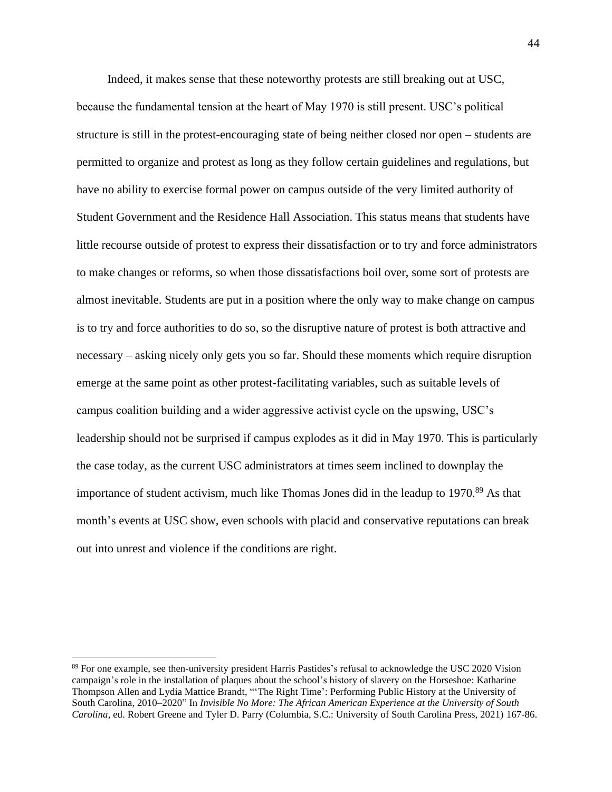Indeed, it makes sense that these noteworthy protests are still breaking out at USC, because the fundamental tension at the heart of May 1970 is still present. USC's political structure is still in the protest-encouraging state of being neither closed nor open – students are permitted to organize and protest as long as they follow certain guidelines and regulations, but have no ability to exercise formal power on campus outside of the very limited authority of Student Government and the Residence Hall Association. This status means that students have little recourse outside of protest to express their dissatisfaction or to try and force administrators to make changes or reforms, so when those dissatisfactions boil over, some sort of protests are almost inevitable. Students are put in a position where the only way to make change on campus is to try and force authorities to do so, so the disruptive nature of protest is both attractive and necessary – asking nicely only gets you so far. Should these moments which require disruption emerge at the same point as other protest-facilitating variables, such as suitable levels of campus coalition building and a wider aggressive activist cycle on the upswing, USC's leadership should not be surprised if campus explodes as it did in May 1970. This is particularly the case today, as the current USC administrators at times seem inclined to downplay the importance of student activism, much like Thomas Jones did in the leadup to 1970.<sup>89</sup> As that month's events at USC show, even schools with placid and conservative reputations can break out into unrest and violence if the conditions are right.

<sup>89</sup> For one example, see then-university president Harris Pastides's refusal to acknowledge the USC 2020 Vision campaign's role in the installation of plaques about the school's history of slavery on the Horseshoe: Katharine Thompson Allen and Lydia Mattice Brandt, "'The Right Time': Performing Public History at the University of South Carolina, 2010–2020" In *Invisible No More: The African American Experience at the University of South Carolina*, ed. Robert Greene and Tyler D. Parry (Columbia, S.C.: University of South Carolina Press, 2021) 167-86.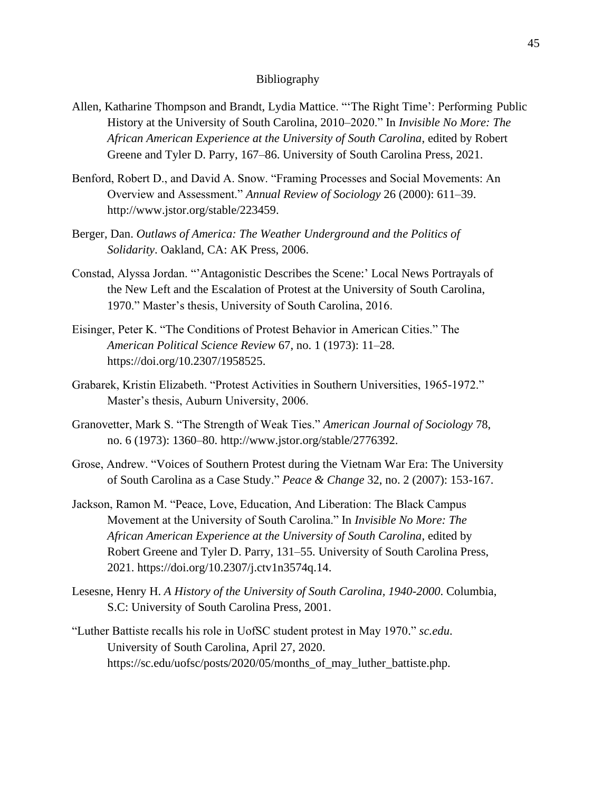#### Bibliography

- Allen, Katharine Thompson and Brandt, Lydia Mattice. "'The Right Time': Performing Public History at the University of South Carolina, 2010–2020." In *Invisible No More: The African American Experience at the University of South Carolina*, edited by Robert Greene and Tyler D. Parry, 167–86. University of South Carolina Press, 2021.
- Benford, Robert D., and David A. Snow. "Framing Processes and Social Movements: An Overview and Assessment." *Annual Review of Sociology* 26 (2000): 611–39. http://www.jstor.org/stable/223459.
- Berger, Dan. *Outlaws of America: The Weather Underground and the Politics of Solidarity*. Oakland, CA: AK Press, 2006.
- Constad, Alyssa Jordan. "'Antagonistic Describes the Scene:' Local News Portrayals of the New Left and the Escalation of Protest at the University of South Carolina, 1970." Master's thesis, University of South Carolina, 2016.
- Eisinger, Peter K. "The Conditions of Protest Behavior in American Cities." The *American Political Science Review* 67, no. 1 (1973): 11–28. https://doi.org/10.2307/1958525.
- Grabarek, Kristin Elizabeth. "Protest Activities in Southern Universities, 1965-1972." Master's thesis, Auburn University, 2006.
- Granovetter, Mark S. "The Strength of Weak Ties." *American Journal of Sociology* 78, no. 6 (1973): 1360–80. http://www.jstor.org/stable/2776392.
- Grose, Andrew. "Voices of Southern Protest during the Vietnam War Era: The University of South Carolina as a Case Study." *Peace & Change* 32, no. 2 (2007): 153-167.
- Jackson, Ramon M. "Peace, Love, Education, And Liberation: The Black Campus Movement at the University of South Carolina." In *Invisible No More: The African American Experience at the University of South Carolina*, edited by Robert Greene and Tyler D. Parry, 131–55. University of South Carolina Press, 2021. https://doi.org/10.2307/j.ctv1n3574q.14.
- Lesesne, Henry H. *A History of the University of South Carolina, 1940-2000*. Columbia, S.C: University of South Carolina Press, 2001.
- "Luther Battiste recalls his role in UofSC student protest in May 1970." *sc.edu*. University of South Carolina, April 27, 2020. https://sc.edu/uofsc/posts/2020/05/months\_of\_may\_luther\_battiste.php.